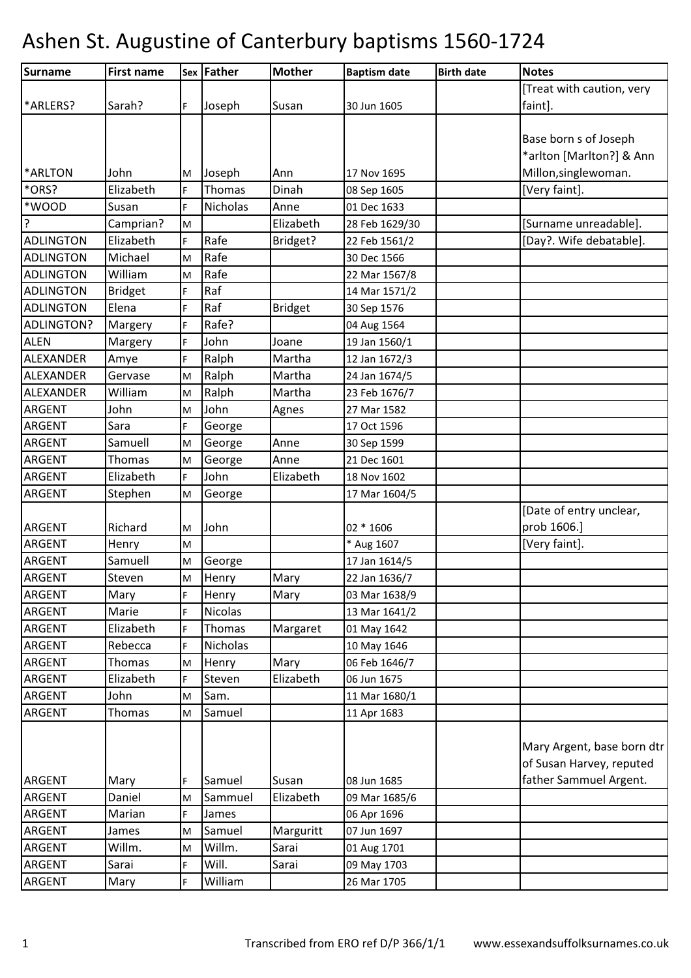| Surname           | <b>First name</b> |    | <b>Sex Father</b> | <b>Mother</b>  | <b>Baptism date</b> | <b>Birth date</b> | <b>Notes</b>               |
|-------------------|-------------------|----|-------------------|----------------|---------------------|-------------------|----------------------------|
|                   |                   |    |                   |                |                     |                   | [Treat with caution, very  |
| *ARLERS?          | Sarah?            | F  | Joseph            | Susan          | 30 Jun 1605         |                   | faint].                    |
|                   |                   |    |                   |                |                     |                   |                            |
|                   |                   |    |                   |                |                     |                   | Base born s of Joseph      |
|                   |                   |    |                   |                |                     |                   | *arlton [Marlton?] & Ann   |
| *ARLTON           | John              | M  | Joseph            | Ann            | 17 Nov 1695         |                   | Millon, singlewoman.       |
| *ORS?             | Elizabeth         | F. | Thomas            | Dinah          | 08 Sep 1605         |                   | [Very faint].              |
| *WOOD             | Susan             | F  | <b>Nicholas</b>   | Anne           | 01 Dec 1633         |                   |                            |
| ?                 | Camprian?         | M  |                   | Elizabeth      | 28 Feb 1629/30      |                   | [Surname unreadable].      |
| <b>ADLINGTON</b>  | Elizabeth         | F. | Rafe              | Bridget?       | 22 Feb 1561/2       |                   | [Day?. Wife debatable].    |
| <b>ADLINGTON</b>  | Michael           | M  | Rafe              |                | 30 Dec 1566         |                   |                            |
| <b>ADLINGTON</b>  | William           | M  | Rafe              |                | 22 Mar 1567/8       |                   |                            |
| <b>ADLINGTON</b>  | <b>Bridget</b>    | F  | Raf               |                | 14 Mar 1571/2       |                   |                            |
| <b>ADLINGTON</b>  | Elena             | F. | Raf               | <b>Bridget</b> | 30 Sep 1576         |                   |                            |
| <b>ADLINGTON?</b> | Margery           | F  | Rafe?             |                | 04 Aug 1564         |                   |                            |
| <b>ALEN</b>       | Margery           | F. | John              | Joane          | 19 Jan 1560/1       |                   |                            |
| ALEXANDER         | Amye              | F  | Ralph             | Martha         | 12 Jan 1672/3       |                   |                            |
| <b>ALEXANDER</b>  | Gervase           | M  | Ralph             | Martha         | 24 Jan 1674/5       |                   |                            |
| ALEXANDER         | William           | M  | Ralph             | Martha         | 23 Feb 1676/7       |                   |                            |
| <b>ARGENT</b>     | John              | M  | John              | Agnes          | 27 Mar 1582         |                   |                            |
| <b>ARGENT</b>     | Sara              | F  | George            |                | 17 Oct 1596         |                   |                            |
| <b>ARGENT</b>     | Samuell           | M  | George            | Anne           | 30 Sep 1599         |                   |                            |
| <b>ARGENT</b>     | Thomas            | M  | George            | Anne           | 21 Dec 1601         |                   |                            |
| <b>ARGENT</b>     | Elizabeth         | F  | John              | Elizabeth      | 18 Nov 1602         |                   |                            |
| <b>ARGENT</b>     | Stephen           | M  | George            |                | 17 Mar 1604/5       |                   |                            |
|                   |                   |    |                   |                |                     |                   | [Date of entry unclear,    |
| <b>ARGENT</b>     | Richard           | M  | John              |                | 02 * 1606           |                   | prob 1606.]                |
| <b>ARGENT</b>     | Henry             | M  |                   |                | * Aug 1607          |                   | [Very faint].              |
| <b>ARGENT</b>     | Samuell           | M  | George            |                | 17 Jan 1614/5       |                   |                            |
| <b>ARGENT</b>     | Steven            | M  | Henry             | Mary           | 22 Jan 1636/7       |                   |                            |
| ARGENT            | Mary              | F  | Henry             | Mary           | 03 Mar 1638/9       |                   |                            |
| <b>ARGENT</b>     | Marie             | F  | Nicolas           |                | 13 Mar 1641/2       |                   |                            |
| ARGENT            | Elizabeth         | F  | Thomas            | Margaret       | 01 May 1642         |                   |                            |
| <b>ARGENT</b>     | Rebecca           | F  | <b>Nicholas</b>   |                | 10 May 1646         |                   |                            |
| ARGENT            | Thomas            | M  | Henry             | Mary           | 06 Feb 1646/7       |                   |                            |
| <b>ARGENT</b>     | Elizabeth         | F  | Steven            | Elizabeth      | 06 Jun 1675         |                   |                            |
| <b>ARGENT</b>     | John              | M  | Sam.              |                | 11 Mar 1680/1       |                   |                            |
| <b>ARGENT</b>     | Thomas            | M  | Samuel            |                | 11 Apr 1683         |                   |                            |
|                   |                   |    |                   |                |                     |                   |                            |
|                   |                   |    |                   |                |                     |                   | Mary Argent, base born dtr |
|                   |                   |    |                   |                |                     |                   | of Susan Harvey, reputed   |
| <b>ARGENT</b>     | Mary              | F  | Samuel            | Susan          | 08 Jun 1685         |                   | father Sammuel Argent.     |
| <b>ARGENT</b>     | Daniel            | M  | Sammuel           | Elizabeth      | 09 Mar 1685/6       |                   |                            |
| <b>ARGENT</b>     | Marian            | F  | James             |                | 06 Apr 1696         |                   |                            |
| ARGENT            | James             | M  | Samuel            | Marguritt      | 07 Jun 1697         |                   |                            |
| <b>ARGENT</b>     | Willm.            | M  | Willm.            | Sarai          | 01 Aug 1701         |                   |                            |
| ARGENT            | Sarai             | F  | Will.             | Sarai          | 09 May 1703         |                   |                            |
| <b>ARGENT</b>     | Mary              | F. | William           |                | 26 Mar 1705         |                   |                            |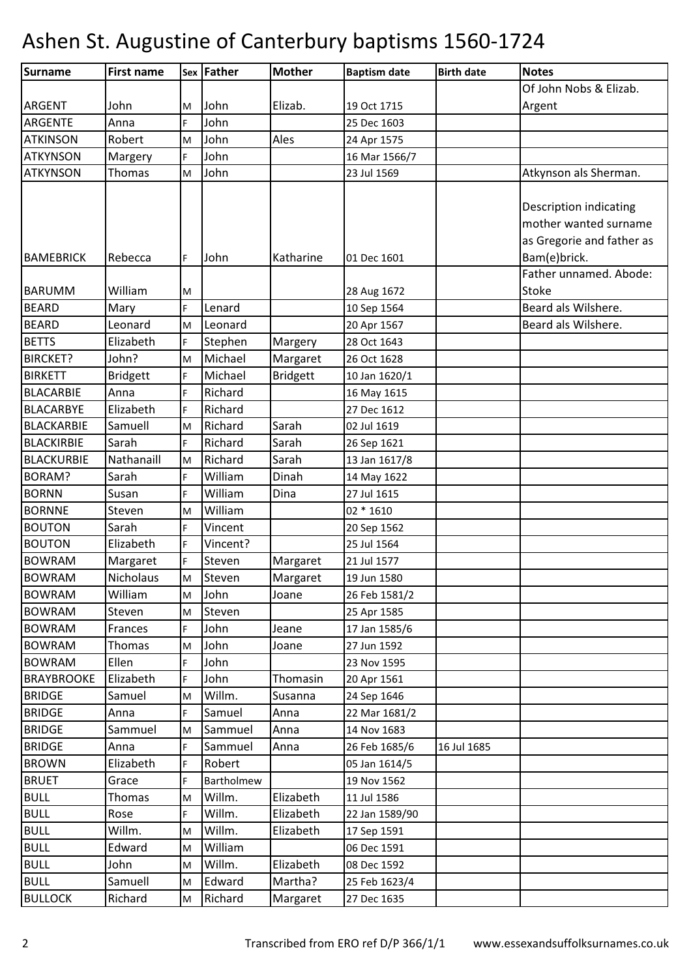| Surname           | <b>First name</b> |    | Sex Father | <b>Mother</b>   | <b>Baptism date</b> | <b>Birth date</b> | <b>Notes</b>                  |
|-------------------|-------------------|----|------------|-----------------|---------------------|-------------------|-------------------------------|
|                   |                   |    |            |                 |                     |                   | Of John Nobs & Elizab.        |
| <b>ARGENT</b>     | John              | M  | John       | Elizab.         | 19 Oct 1715         |                   | Argent                        |
| ARGENTE           | Anna              | F. | John       |                 | 25 Dec 1603         |                   |                               |
| <b>ATKINSON</b>   | Robert            | M  | John       | Ales            | 24 Apr 1575         |                   |                               |
| <b>ATKYNSON</b>   | Margery           | F. | John       |                 | 16 Mar 1566/7       |                   |                               |
| <b>ATKYNSON</b>   | <b>Thomas</b>     | M  | John       |                 | 23 Jul 1569         |                   | Atkynson als Sherman.         |
|                   |                   |    |            |                 |                     |                   |                               |
|                   |                   |    |            |                 |                     |                   | <b>Description indicating</b> |
|                   |                   |    |            |                 |                     |                   | mother wanted surname         |
|                   |                   |    |            |                 |                     |                   | as Gregorie and father as     |
| <b>BAMEBRICK</b>  | Rebecca           | F. | John       | Katharine       | 01 Dec 1601         |                   | Bam(e)brick.                  |
|                   |                   |    |            |                 |                     |                   | Father unnamed. Abode:        |
| <b>BARUMM</b>     | William           | M  |            |                 | 28 Aug 1672         |                   | Stoke                         |
| <b>BEARD</b>      | Mary              | F. | Lenard     |                 | 10 Sep 1564         |                   | Beard als Wilshere.           |
| <b>BEARD</b>      | Leonard           | M  | Leonard    |                 | 20 Apr 1567         |                   | Beard als Wilshere.           |
| <b>BETTS</b>      | Elizabeth         | F. | Stephen    | Margery         | 28 Oct 1643         |                   |                               |
| <b>BIRCKET?</b>   | John?             | M  | Michael    | Margaret        | 26 Oct 1628         |                   |                               |
| <b>BIRKETT</b>    | <b>Bridgett</b>   | F  | Michael    | <b>Bridgett</b> | 10 Jan 1620/1       |                   |                               |
| <b>BLACARBIE</b>  | Anna              | F. | Richard    |                 | 16 May 1615         |                   |                               |
| <b>BLACARBYE</b>  | Elizabeth         | F  | Richard    |                 | 27 Dec 1612         |                   |                               |
| <b>BLACKARBIE</b> | Samuell           | M  | Richard    | Sarah           | 02 Jul 1619         |                   |                               |
| <b>BLACKIRBIE</b> | Sarah             | F. | Richard    | Sarah           | 26 Sep 1621         |                   |                               |
| <b>BLACKURBIE</b> | Nathanaill        | M  | Richard    | Sarah           | 13 Jan 1617/8       |                   |                               |
| BORAM?            | Sarah             | F. | William    | Dinah           | 14 May 1622         |                   |                               |
| <b>BORNN</b>      | Susan             | F  | William    | Dina            | 27 Jul 1615         |                   |                               |
| <b>BORNNE</b>     | Steven            | M  | William    |                 | 02 * 1610           |                   |                               |
| <b>BOUTON</b>     | Sarah             | F  | Vincent    |                 | 20 Sep 1562         |                   |                               |
| <b>BOUTON</b>     | Elizabeth         | F  | Vincent?   |                 | 25 Jul 1564         |                   |                               |
| <b>BOWRAM</b>     | Margaret          | F  | Steven     | Margaret        | 21 Jul 1577         |                   |                               |
| <b>BOWRAM</b>     | Nicholaus         | M  | Steven     | Margaret        | 19 Jun 1580         |                   |                               |
| <b>BOWRAM</b>     | William           | M  | John       | Joane           | 26 Feb 1581/2       |                   |                               |
| <b>BOWRAM</b>     | Steven            | M  | Steven     |                 | 25 Apr 1585         |                   |                               |
| <b>BOWRAM</b>     | Frances           | F. | John       | Jeane           | 17 Jan 1585/6       |                   |                               |
| <b>BOWRAM</b>     | Thomas            | M  | John       | Joane           | 27 Jun 1592         |                   |                               |
| <b>BOWRAM</b>     | Ellen             | F. | John       |                 | 23 Nov 1595         |                   |                               |
| <b>BRAYBROOKE</b> | Elizabeth         | F  | John       | Thomasin        | 20 Apr 1561         |                   |                               |
| <b>BRIDGE</b>     | Samuel            | M  | Willm.     | Susanna         | 24 Sep 1646         |                   |                               |
| <b>BRIDGE</b>     | Anna              | F. | Samuel     | Anna            | 22 Mar 1681/2       |                   |                               |
| <b>BRIDGE</b>     | Sammuel           | M  | Sammuel    | Anna            | 14 Nov 1683         |                   |                               |
| <b>BRIDGE</b>     | Anna              | F. | Sammuel    | Anna            | 26 Feb 1685/6       | 16 Jul 1685       |                               |
| <b>BROWN</b>      | Elizabeth         | F  | Robert     |                 | 05 Jan 1614/5       |                   |                               |
| <b>BRUET</b>      | Grace             | F. | Bartholmew |                 | 19 Nov 1562         |                   |                               |
| <b>BULL</b>       | Thomas            | M  | Willm.     | Elizabeth       | 11 Jul 1586         |                   |                               |
| <b>BULL</b>       | Rose              | F. | Willm.     | Elizabeth       | 22 Jan 1589/90      |                   |                               |
| <b>BULL</b>       | Willm.            | M  | Willm.     | Elizabeth       | 17 Sep 1591         |                   |                               |
| <b>BULL</b>       | Edward            | M  | William    |                 | 06 Dec 1591         |                   |                               |
| <b>BULL</b>       | John              | M  | Willm.     | Elizabeth       | 08 Dec 1592         |                   |                               |
| <b>BULL</b>       | Samuell           | M  | Edward     | Martha?         | 25 Feb 1623/4       |                   |                               |
| <b>BULLOCK</b>    | Richard           | M  | Richard    | Margaret        | 27 Dec 1635         |                   |                               |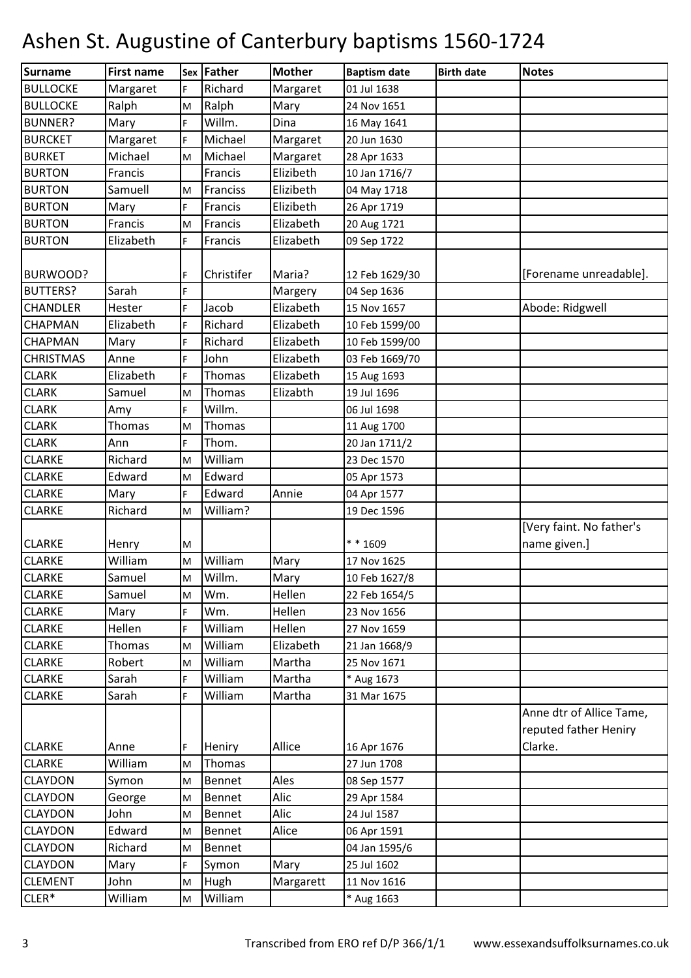| Surname          | <b>First name</b> |    | Sex Father | <b>Mother</b> | <b>Baptism date</b> | <b>Birth date</b> | <b>Notes</b>                                      |
|------------------|-------------------|----|------------|---------------|---------------------|-------------------|---------------------------------------------------|
| <b>BULLOCKE</b>  | Margaret          | F. | Richard    | Margaret      | 01 Jul 1638         |                   |                                                   |
| <b>BULLOCKE</b>  | Ralph             | M  | Ralph      | Mary          | 24 Nov 1651         |                   |                                                   |
| <b>BUNNER?</b>   | Mary              | F  | Willm.     | Dina          | 16 May 1641         |                   |                                                   |
| <b>BURCKET</b>   | Margaret          | F. | Michael    | Margaret      | 20 Jun 1630         |                   |                                                   |
| <b>BURKET</b>    | Michael           | M  | Michael    | Margaret      | 28 Apr 1633         |                   |                                                   |
| <b>BURTON</b>    | Francis           |    | Francis    | Elizibeth     | 10 Jan 1716/7       |                   |                                                   |
| <b>BURTON</b>    | Samuell           | M  | Franciss   | Elizibeth     | 04 May 1718         |                   |                                                   |
| <b>BURTON</b>    | Mary              | F  | Francis    | Elizibeth     | 26 Apr 1719         |                   |                                                   |
| <b>BURTON</b>    | Francis           | M  | Francis    | Elizabeth     | 20 Aug 1721         |                   |                                                   |
| <b>BURTON</b>    | Elizabeth         | F. | Francis    | Elizabeth     | 09 Sep 1722         |                   |                                                   |
|                  |                   |    |            |               |                     |                   |                                                   |
| BURWOOD?         |                   | F  | Christifer | Maria?        | 12 Feb 1629/30      |                   | [Forename unreadable].                            |
| <b>BUTTERS?</b>  | Sarah             | F. |            | Margery       | 04 Sep 1636         |                   |                                                   |
| <b>CHANDLER</b>  | Hester            | F. | Jacob      | Elizabeth     | 15 Nov 1657         |                   | Abode: Ridgwell                                   |
| CHAPMAN          | Elizabeth         | F  | Richard    | Elizabeth     | 10 Feb 1599/00      |                   |                                                   |
| <b>CHAPMAN</b>   | Mary              | F. | Richard    | Elizabeth     | 10 Feb 1599/00      |                   |                                                   |
| <b>CHRISTMAS</b> | Anne              | F. | John       | Elizabeth     | 03 Feb 1669/70      |                   |                                                   |
| <b>CLARK</b>     | Elizabeth         | F. | Thomas     | Elizabeth     | 15 Aug 1693         |                   |                                                   |
| <b>CLARK</b>     | Samuel            | M  | Thomas     | Elizabth      | 19 Jul 1696         |                   |                                                   |
| <b>CLARK</b>     | Amy               | F  | Willm.     |               | 06 Jul 1698         |                   |                                                   |
| <b>CLARK</b>     | Thomas            | M  | Thomas     |               | 11 Aug 1700         |                   |                                                   |
| <b>CLARK</b>     | Ann               | F. | Thom.      |               | 20 Jan 1711/2       |                   |                                                   |
| <b>CLARKE</b>    | Richard           | M  | William    |               | 23 Dec 1570         |                   |                                                   |
| <b>CLARKE</b>    | Edward            | M  | Edward     |               | 05 Apr 1573         |                   |                                                   |
| <b>CLARKE</b>    | Mary              | F  | Edward     | Annie         | 04 Apr 1577         |                   |                                                   |
| <b>CLARKE</b>    | Richard           | M  | William?   |               | 19 Dec 1596         |                   |                                                   |
|                  |                   |    |            |               |                     |                   | [Very faint. No father's                          |
| <b>CLARKE</b>    | Henry             | M  |            |               | ** 1609             |                   | name given.]                                      |
| <b>CLARKE</b>    | William           | M  | William    | Mary          | 17 Nov 1625         |                   |                                                   |
| <b>CLARKE</b>    | Samuel            | M  | Willm.     | Mary          | 10 Feb 1627/8       |                   |                                                   |
| <b>CLARKE</b>    | Samuel            | M  | Wm.        | Hellen        | 22 Feb 1654/5       |                   |                                                   |
| <b>CLARKE</b>    | Mary              | F  | Wm.        | Hellen        | 23 Nov 1656         |                   |                                                   |
| <b>CLARKE</b>    | Hellen            | F  | William    | Hellen        | 27 Nov 1659         |                   |                                                   |
| <b>CLARKE</b>    | Thomas            | M  | William    | Elizabeth     | 21 Jan 1668/9       |                   |                                                   |
| <b>CLARKE</b>    | Robert            | M  | William    | Martha        | 25 Nov 1671         |                   |                                                   |
| <b>CLARKE</b>    | Sarah             | F  | William    | Martha        | * Aug 1673          |                   |                                                   |
| <b>CLARKE</b>    | Sarah             | F. | William    | Martha        | 31 Mar 1675         |                   |                                                   |
|                  |                   |    |            |               |                     |                   | Anne dtr of Allice Tame,<br>reputed father Heniry |
| <b>CLARKE</b>    | Anne              | F. | Heniry     | Allice        | 16 Apr 1676         |                   | Clarke.                                           |
| <b>CLARKE</b>    | William           | M  | Thomas     |               | 27 Jun 1708         |                   |                                                   |
| <b>CLAYDON</b>   | Symon             | M  | Bennet     | Ales          | 08 Sep 1577         |                   |                                                   |
| <b>CLAYDON</b>   | George            | M  | Bennet     | Alic          | 29 Apr 1584         |                   |                                                   |
| <b>CLAYDON</b>   | John              | M  | Bennet     | Alic          | 24 Jul 1587         |                   |                                                   |
| <b>CLAYDON</b>   | Edward            | M  | Bennet     | Alice         | 06 Apr 1591         |                   |                                                   |
| <b>CLAYDON</b>   | Richard           | M  | Bennet     |               | 04 Jan 1595/6       |                   |                                                   |
| <b>CLAYDON</b>   | Mary              | F. | Symon      | Mary          | 25 Jul 1602         |                   |                                                   |
| <b>CLEMENT</b>   | John              | M  | Hugh       | Margarett     | 11 Nov 1616         |                   |                                                   |
| $CLER*$          | William           | M  | William    |               | * Aug 1663          |                   |                                                   |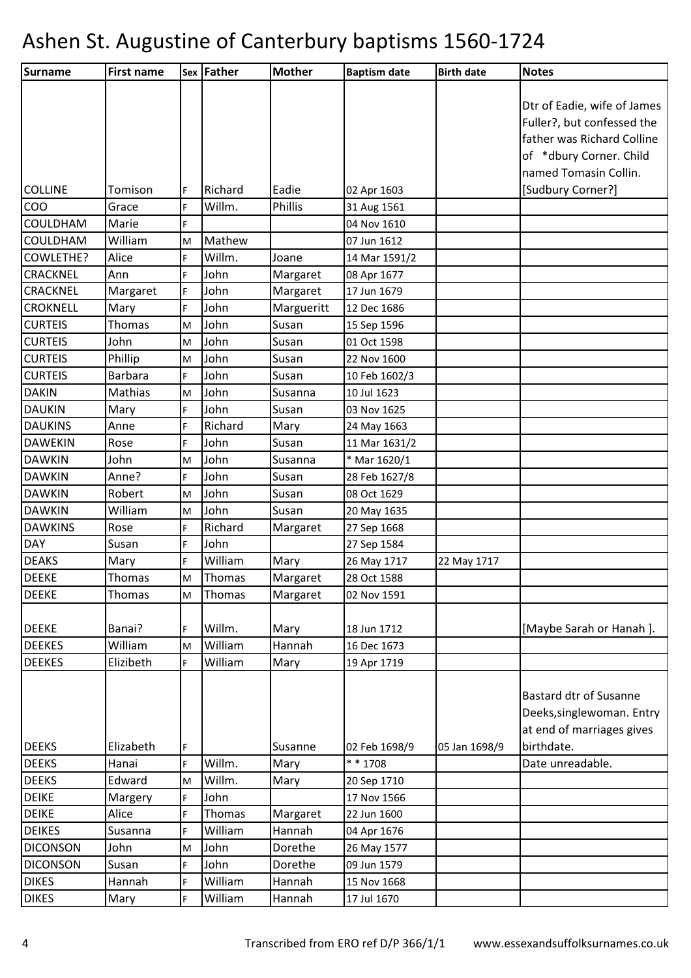| Surname         | <b>First name</b> |    | Sex Father | <b>Mother</b> | <b>Baptism date</b> | <b>Birth date</b> | <b>Notes</b>                |
|-----------------|-------------------|----|------------|---------------|---------------------|-------------------|-----------------------------|
|                 |                   |    |            |               |                     |                   |                             |
|                 |                   |    |            |               |                     |                   | Dtr of Eadie, wife of James |
|                 |                   |    |            |               |                     |                   | Fuller?, but confessed the  |
|                 |                   |    |            |               |                     |                   | father was Richard Colline  |
|                 |                   |    |            |               |                     |                   | of *dbury Corner. Child     |
|                 |                   |    |            |               |                     |                   | named Tomasin Collin.       |
| <b>COLLINE</b>  | Tomison           | F  | Richard    | Eadie         | 02 Apr 1603         |                   | [Sudbury Corner?]           |
| COO             | Grace             | F  | Willm.     | Phillis       | 31 Aug 1561         |                   |                             |
| COULDHAM        | Marie             | F  |            |               | 04 Nov 1610         |                   |                             |
| <b>COULDHAM</b> | William           | M  | Mathew     |               | 07 Jun 1612         |                   |                             |
| COWLETHE?       | Alice             | F  | Willm.     | Joane         | 14 Mar 1591/2       |                   |                             |
| CRACKNEL        | Ann               | F  | John       | Margaret      | 08 Apr 1677         |                   |                             |
| <b>CRACKNEL</b> | Margaret          | F. | John       | Margaret      | 17 Jun 1679         |                   |                             |
| <b>CROKNELL</b> | Mary              | F  | John       | Margueritt    | 12 Dec 1686         |                   |                             |
| <b>CURTEIS</b>  | Thomas            | M  | John       | Susan         | 15 Sep 1596         |                   |                             |
| <b>CURTEIS</b>  | John              | M  | John       | Susan         | 01 Oct 1598         |                   |                             |
| <b>CURTEIS</b>  | Phillip           | M  | John       | Susan         | 22 Nov 1600         |                   |                             |
| <b>CURTEIS</b>  | <b>Barbara</b>    | F. | John       | Susan         | 10 Feb 1602/3       |                   |                             |
| <b>DAKIN</b>    | Mathias           | M  | John       | Susanna       | 10 Jul 1623         |                   |                             |
| <b>DAUKIN</b>   | Mary              | F. | John       | Susan         | 03 Nov 1625         |                   |                             |
| <b>DAUKINS</b>  | Anne              | F  | Richard    | Mary          | 24 May 1663         |                   |                             |
| <b>DAWEKIN</b>  | Rose              | F  | John       | Susan         | 11 Mar 1631/2       |                   |                             |
| <b>DAWKIN</b>   | John              | M  | John       | Susanna       | * Mar 1620/1        |                   |                             |
| <b>DAWKIN</b>   | Anne?             | F  | John       | Susan         | 28 Feb 1627/8       |                   |                             |
| <b>DAWKIN</b>   | Robert            | M  | John       | Susan         | 08 Oct 1629         |                   |                             |
| <b>DAWKIN</b>   | William           | M  | John       | Susan         | 20 May 1635         |                   |                             |
| <b>DAWKINS</b>  | Rose              | F  | Richard    | Margaret      | 27 Sep 1668         |                   |                             |
| <b>DAY</b>      | Susan             | F. | John       |               | 27 Sep 1584         |                   |                             |
| <b>DEAKS</b>    | Mary              | F. | William    | Mary          | 26 May 1717         | 22 May 1717       |                             |
| <b>DEEKE</b>    | Thomas            | M  | Thomas     | Margaret      | 28 Oct 1588         |                   |                             |
| <b>DEEKE</b>    | Thomas            | M  | Thomas     | Margaret      | 02 Nov 1591         |                   |                             |
|                 |                   |    |            |               |                     |                   |                             |
| <b>DEEKE</b>    | Banai?            | F  | Willm.     | Mary          | 18 Jun 1712         |                   | [Maybe Sarah or Hanah].     |
| <b>DEEKES</b>   | William           | M  | William    | Hannah        | 16 Dec 1673         |                   |                             |
| <b>DEEKES</b>   | Elizibeth         | F. | William    | Mary          | 19 Apr 1719         |                   |                             |
|                 |                   |    |            |               |                     |                   |                             |
|                 |                   |    |            |               |                     |                   | Bastard dtr of Susanne      |
|                 |                   |    |            |               |                     |                   | Deeks, singlewoman. Entry   |
|                 |                   |    |            |               |                     |                   | at end of marriages gives   |
| <b>DEEKS</b>    | Elizabeth         | F  |            | Susanne       | 02 Feb 1698/9       | 05 Jan 1698/9     | birthdate.                  |
| <b>DEEKS</b>    | Hanai             | F  | Willm.     | Mary          | ** 1708             |                   | Date unreadable.            |
| <b>DEEKS</b>    | Edward            | M  | Willm.     | Mary          | 20 Sep 1710         |                   |                             |
| <b>DEIKE</b>    | Margery           | F  | John       |               | 17 Nov 1566         |                   |                             |
| <b>DEIKE</b>    | Alice             | F. | Thomas     | Margaret      | 22 Jun 1600         |                   |                             |
| <b>DEIKES</b>   | Susanna           | F  | William    | Hannah        | 04 Apr 1676         |                   |                             |
| <b>DICONSON</b> | John              | M  | John       | Dorethe       | 26 May 1577         |                   |                             |
| <b>DICONSON</b> | Susan             | F  | John       | Dorethe       | 09 Jun 1579         |                   |                             |
| <b>DIKES</b>    | Hannah            | F  | William    | Hannah        | 15 Nov 1668         |                   |                             |
| <b>DIKES</b>    | Mary              | F  | William    | Hannah        | 17 Jul 1670         |                   |                             |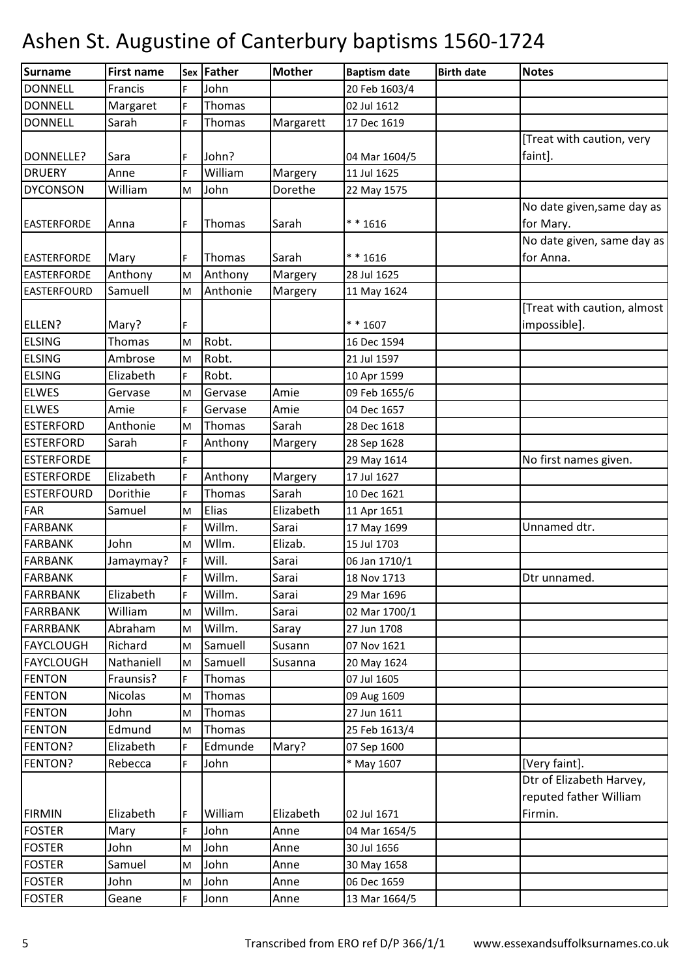| <b>Surname</b>     | <b>First name</b> |    | Sex Father | <b>Mother</b> | <b>Baptism date</b> | <b>Birth date</b> | <b>Notes</b>                |
|--------------------|-------------------|----|------------|---------------|---------------------|-------------------|-----------------------------|
| <b>DONNELL</b>     | Francis           | F  | John       |               | 20 Feb 1603/4       |                   |                             |
| <b>DONNELL</b>     | Margaret          | F  | Thomas     |               | 02 Jul 1612         |                   |                             |
| <b>DONNELL</b>     | Sarah             | F  | Thomas     | Margarett     | 17 Dec 1619         |                   |                             |
|                    |                   |    |            |               |                     |                   | [Treat with caution, very   |
| DONNELLE?          | Sara              | F  | John?      |               | 04 Mar 1604/5       |                   | faint].                     |
| <b>DRUERY</b>      | Anne              | F  | William    | Margery       | 11 Jul 1625         |                   |                             |
| <b>DYCONSON</b>    | William           | M  | John       | Dorethe       | 22 May 1575         |                   |                             |
|                    |                   |    |            |               |                     |                   | No date given, same day as  |
| <b>EASTERFORDE</b> | Anna              | F  | Thomas     | Sarah         | $* * 1616$          |                   | for Mary.                   |
|                    |                   |    |            |               |                     |                   | No date given, same day as  |
| <b>EASTERFORDE</b> | Mary              | F  | Thomas     | Sarah         | ** 1616             |                   | for Anna.                   |
| <b>EASTERFORDE</b> | Anthony           | M  | Anthony    | Margery       | 28 Jul 1625         |                   |                             |
| <b>EASTERFOURD</b> | Samuell           | M  | Anthonie   | Margery       | 11 May 1624         |                   |                             |
|                    |                   |    |            |               |                     |                   | [Treat with caution, almost |
| ELLEN?             | Mary?             | F  |            |               | $* * 1607$          |                   | impossible].                |
| <b>ELSING</b>      | Thomas            | M  | Robt.      |               | 16 Dec 1594         |                   |                             |
| <b>ELSING</b>      | Ambrose           | M  | Robt.      |               | 21 Jul 1597         |                   |                             |
| <b>ELSING</b>      | Elizabeth         | F. | Robt.      |               | 10 Apr 1599         |                   |                             |
| <b>ELWES</b>       | Gervase           | M  | Gervase    | Amie          | 09 Feb 1655/6       |                   |                             |
| <b>ELWES</b>       | Amie              | F  | Gervase    | Amie          | 04 Dec 1657         |                   |                             |
| <b>ESTERFORD</b>   | Anthonie          | M  | Thomas     | Sarah         | 28 Dec 1618         |                   |                             |
| <b>ESTERFORD</b>   | Sarah             | F  | Anthony    | Margery       | 28 Sep 1628         |                   |                             |
| <b>ESTERFORDE</b>  |                   | F. |            |               | 29 May 1614         |                   | No first names given.       |
| <b>ESTERFORDE</b>  | Elizabeth         | F  | Anthony    | Margery       | 17 Jul 1627         |                   |                             |
| <b>ESTERFOURD</b>  | Dorithie          | F. | Thomas     | Sarah         | 10 Dec 1621         |                   |                             |
| FAR                | Samuel            | M  | Elias      | Elizabeth     | 11 Apr 1651         |                   |                             |
| <b>FARBANK</b>     |                   | F  | Willm.     | Sarai         | 17 May 1699         |                   | Unnamed dtr.                |
| <b>FARBANK</b>     | John              | M  | Wllm.      | Elizab.       | 15 Jul 1703         |                   |                             |
| <b>FARBANK</b>     | Jamaymay?         | F  | Will.      | Sarai         | 06 Jan 1710/1       |                   |                             |
| <b>FARBANK</b>     |                   | F. | Willm.     | Sarai         | 18 Nov 1713         |                   | Dtr unnamed.                |
| <b>FARRBANK</b>    | Elizabeth         | F  | Willm.     | Sarai         | 29 Mar 1696         |                   |                             |
| <b>FARRBANK</b>    | William           | M  | Willm.     | Sarai         | 02 Mar 1700/1       |                   |                             |
| <b>FARRBANK</b>    | Abraham           | M  | Willm.     | Saray         | 27 Jun 1708         |                   |                             |
| <b>FAYCLOUGH</b>   | Richard           | M  | Samuell    | Susann        | 07 Nov 1621         |                   |                             |
| <b>FAYCLOUGH</b>   | Nathaniell        | M  | Samuell    | Susanna       | 20 May 1624         |                   |                             |
| <b>FENTON</b>      | Fraunsis?         | F. | Thomas     |               | 07 Jul 1605         |                   |                             |
| <b>FENTON</b>      | <b>Nicolas</b>    | M  | Thomas     |               | 09 Aug 1609         |                   |                             |
| <b>FENTON</b>      | John              | M  | Thomas     |               | 27 Jun 1611         |                   |                             |
| <b>FENTON</b>      | Edmund            | M  | Thomas     |               | 25 Feb 1613/4       |                   |                             |
| FENTON?            | Elizabeth         | F  | Edmunde    | Mary?         | 07 Sep 1600         |                   |                             |
| FENTON?            | Rebecca           | F. | John       |               | * May 1607          |                   | [Very faint].               |
|                    |                   |    |            |               |                     |                   | Dtr of Elizabeth Harvey,    |
|                    |                   |    |            |               |                     |                   | reputed father William      |
| <b>FIRMIN</b>      | Elizabeth         | F  | William    | Elizabeth     | 02 Jul 1671         |                   | Firmin.                     |
| <b>FOSTER</b>      | Mary              | F  | John       | Anne          | 04 Mar 1654/5       |                   |                             |
| <b>FOSTER</b>      | John              | M  | John       | Anne          | 30 Jul 1656         |                   |                             |
| <b>FOSTER</b>      | Samuel            | M  | John       | Anne          | 30 May 1658         |                   |                             |
| <b>FOSTER</b>      | John              | M  | John       | Anne          | 06 Dec 1659         |                   |                             |
| <b>FOSTER</b>      | Geane             | F. | Jonn       | Anne          | 13 Mar 1664/5       |                   |                             |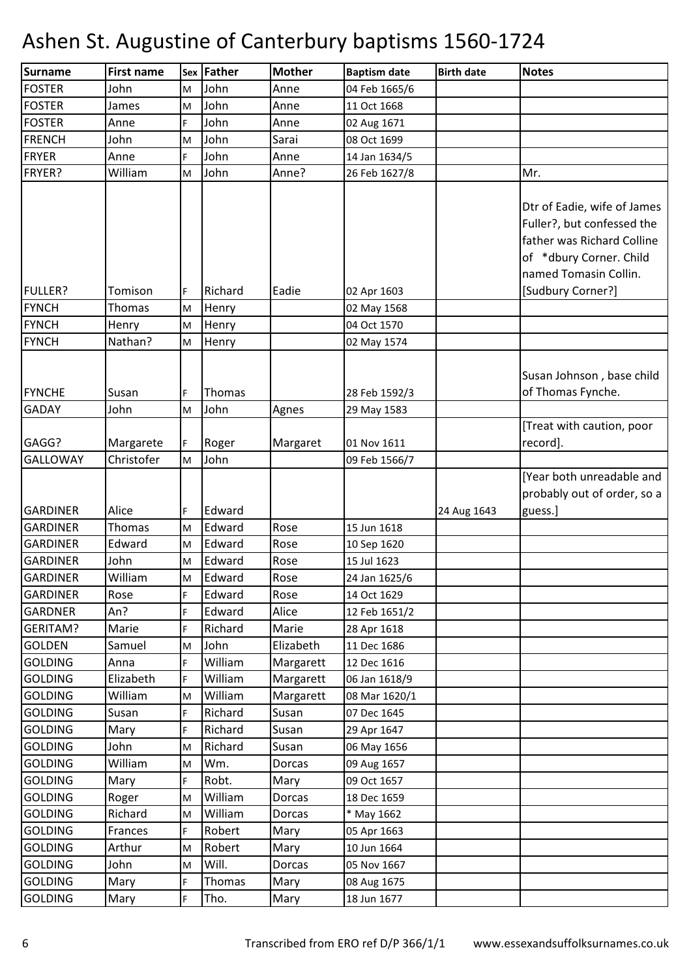| Surname                            | <b>First name</b>       | <b>Sex</b> | Father           | <b>Mother</b> | <b>Baptism date</b>          | <b>Birth date</b> | <b>Notes</b>                                                                                                                                                     |
|------------------------------------|-------------------------|------------|------------------|---------------|------------------------------|-------------------|------------------------------------------------------------------------------------------------------------------------------------------------------------------|
| <b>FOSTER</b>                      | John                    | M          | John             | Anne          | 04 Feb 1665/6                |                   |                                                                                                                                                                  |
| <b>FOSTER</b>                      | James                   | M          | John             | Anne          | 11 Oct 1668                  |                   |                                                                                                                                                                  |
| <b>FOSTER</b>                      | Anne                    | F.         | John             | Anne          | 02 Aug 1671                  |                   |                                                                                                                                                                  |
| <b>FRENCH</b>                      | John                    | M          | John             | Sarai         | 08 Oct 1699                  |                   |                                                                                                                                                                  |
| <b>FRYER</b>                       | Anne                    | F          | John             | Anne          | 14 Jan 1634/5                |                   |                                                                                                                                                                  |
| FRYER?                             | William                 | M          | John             | Anne?         | 26 Feb 1627/8                |                   | Mr.                                                                                                                                                              |
| <b>FULLER?</b>                     | Tomison                 | F          | Richard          | Eadie         | 02 Apr 1603                  |                   | Dtr of Eadie, wife of James<br>Fuller?, but confessed the<br>father was Richard Colline<br>of *dbury Corner. Child<br>named Tomasin Collin.<br>[Sudbury Corner?] |
| <b>FYNCH</b>                       | Thomas                  | M          | Henry            |               | 02 May 1568                  |                   |                                                                                                                                                                  |
| <b>FYNCH</b>                       | Henry                   | M          | Henry            |               | 04 Oct 1570                  |                   |                                                                                                                                                                  |
| <b>FYNCH</b>                       | Nathan?                 | M          | Henry            |               | 02 May 1574                  |                   |                                                                                                                                                                  |
| <b>FYNCHE</b>                      | Susan                   | F          | Thomas           |               | 28 Feb 1592/3                |                   | Susan Johnson, base child<br>of Thomas Fynche.                                                                                                                   |
| <b>GADAY</b>                       | John                    | M          | John             | Agnes         | 29 May 1583                  |                   |                                                                                                                                                                  |
| GAGG?<br><b>GALLOWAY</b>           | Margarete<br>Christofer | F<br>M     | Roger<br>John    | Margaret      | 01 Nov 1611<br>09 Feb 1566/7 |                   | [Treat with caution, poor<br>record].<br>[Year both unreadable and                                                                                               |
| <b>GARDINER</b><br><b>GARDINER</b> | Alice<br><b>Thomas</b>  | F          | Edward<br>Edward | Rose          | 15 Jun 1618                  | 24 Aug 1643       | probably out of order, so a<br>guess.]                                                                                                                           |
| <b>GARDINER</b>                    | Edward                  | M          | Edward           | Rose          |                              |                   |                                                                                                                                                                  |
| <b>GARDINER</b>                    | John                    | M          | Edward           | Rose          | 10 Sep 1620<br>15 Jul 1623   |                   |                                                                                                                                                                  |
|                                    |                         | M          |                  |               |                              |                   |                                                                                                                                                                  |
| <b>GARDINER</b><br><b>GARDINER</b> | William                 | M<br>F.    | Edward<br>Edward | Rose          | 24 Jan 1625/6                |                   |                                                                                                                                                                  |
| <b>GARDNER</b>                     | Rose<br>An $?$          | F          | Edward           | Rose<br>Alice | 14 Oct 1629<br>12 Feb 1651/2 |                   |                                                                                                                                                                  |
| <b>GERITAM?</b>                    | Marie                   | F          | Richard          | Marie         | 28 Apr 1618                  |                   |                                                                                                                                                                  |
| <b>GOLDEN</b>                      | Samuel                  | M          | John             | Elizabeth     | 11 Dec 1686                  |                   |                                                                                                                                                                  |
| <b>GOLDING</b>                     | Anna                    | F.         | William          | Margarett     | 12 Dec 1616                  |                   |                                                                                                                                                                  |
| <b>GOLDING</b>                     | Elizabeth               | F          | William          | Margarett     | 06 Jan 1618/9                |                   |                                                                                                                                                                  |
| <b>GOLDING</b>                     | William                 | M          | William          | Margarett     | 08 Mar 1620/1                |                   |                                                                                                                                                                  |
| <b>GOLDING</b>                     | Susan                   | F          | Richard          | Susan         | 07 Dec 1645                  |                   |                                                                                                                                                                  |
| <b>GOLDING</b>                     | Mary                    | F.         | Richard          | Susan         | 29 Apr 1647                  |                   |                                                                                                                                                                  |
| <b>GOLDING</b>                     | John                    | M          | Richard          | Susan         | 06 May 1656                  |                   |                                                                                                                                                                  |
| <b>GOLDING</b>                     | William                 | M          | Wm.              | Dorcas        | 09 Aug 1657                  |                   |                                                                                                                                                                  |
| <b>GOLDING</b>                     | Mary                    | F.         | Robt.            | Mary          | 09 Oct 1657                  |                   |                                                                                                                                                                  |
| <b>GOLDING</b>                     | Roger                   | M          | William          | Dorcas        | 18 Dec 1659                  |                   |                                                                                                                                                                  |
| <b>GOLDING</b>                     | Richard                 | M          | William          | Dorcas        | * May 1662                   |                   |                                                                                                                                                                  |
| <b>GOLDING</b>                     | Frances                 | F          | Robert           | Mary          | 05 Apr 1663                  |                   |                                                                                                                                                                  |
| <b>GOLDING</b>                     | Arthur                  | M          | Robert           | Mary          | 10 Jun 1664                  |                   |                                                                                                                                                                  |
| <b>GOLDING</b>                     | John                    | M          | Will.            | Dorcas        | 05 Nov 1667                  |                   |                                                                                                                                                                  |
| <b>GOLDING</b>                     | Mary                    | F.         | Thomas           | Mary          | 08 Aug 1675                  |                   |                                                                                                                                                                  |
| <b>GOLDING</b>                     | Mary                    | F          | Tho.             | Mary          | 18 Jun 1677                  |                   |                                                                                                                                                                  |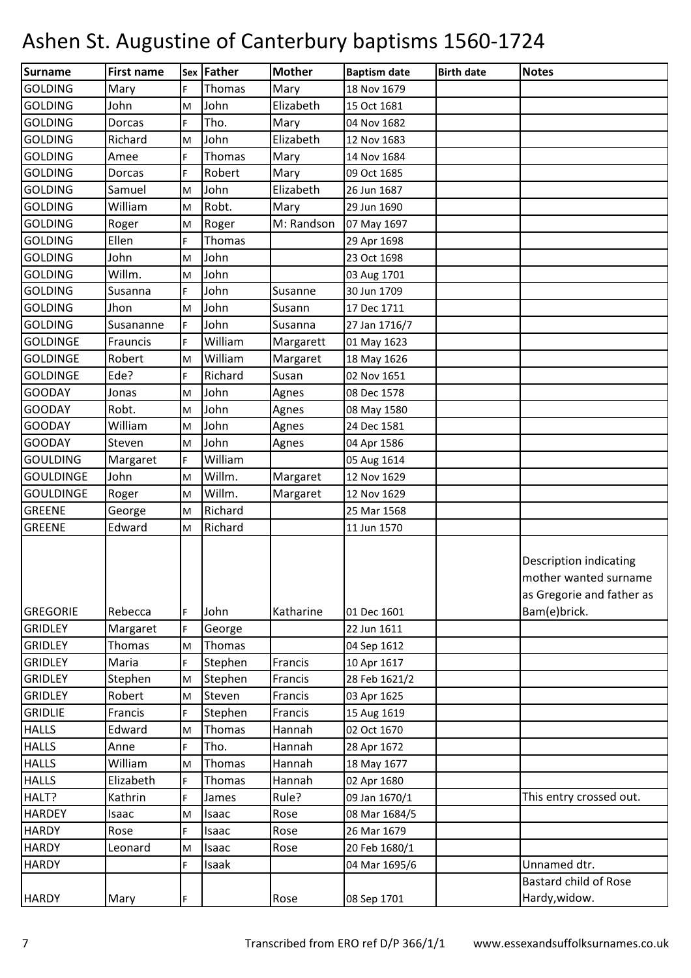| Surname          | <b>First name</b> |    | Sex Father | <b>Mother</b> | <b>Baptism date</b> | <b>Birth date</b> | <b>Notes</b>                                                                                        |
|------------------|-------------------|----|------------|---------------|---------------------|-------------------|-----------------------------------------------------------------------------------------------------|
| <b>GOLDING</b>   | Mary              | F  | Thomas     | Mary          | 18 Nov 1679         |                   |                                                                                                     |
| <b>GOLDING</b>   | John              | M  | John       | Elizabeth     | 15 Oct 1681         |                   |                                                                                                     |
| <b>GOLDING</b>   | Dorcas            | F  | Tho.       | Mary          | 04 Nov 1682         |                   |                                                                                                     |
| <b>GOLDING</b>   | Richard           | M  | John       | Elizabeth     | 12 Nov 1683         |                   |                                                                                                     |
| <b>GOLDING</b>   | Amee              | F. | Thomas     | Mary          | 14 Nov 1684         |                   |                                                                                                     |
| <b>GOLDING</b>   | Dorcas            | F  | Robert     | Mary          | 09 Oct 1685         |                   |                                                                                                     |
| <b>GOLDING</b>   | Samuel            | M  | John       | Elizabeth     | 26 Jun 1687         |                   |                                                                                                     |
| <b>GOLDING</b>   | William           | M  | Robt.      | Mary          | 29 Jun 1690         |                   |                                                                                                     |
| <b>GOLDING</b>   | Roger             | M  | Roger      | M: Randson    | 07 May 1697         |                   |                                                                                                     |
| <b>GOLDING</b>   | Ellen             | F  | Thomas     |               | 29 Apr 1698         |                   |                                                                                                     |
| <b>GOLDING</b>   | John              | M  | John       |               | 23 Oct 1698         |                   |                                                                                                     |
| <b>GOLDING</b>   | Willm.            | M  | John       |               | 03 Aug 1701         |                   |                                                                                                     |
| <b>GOLDING</b>   | Susanna           | F  | John       | Susanne       | 30 Jun 1709         |                   |                                                                                                     |
| <b>GOLDING</b>   | Jhon              | M  | John       | Susann        | 17 Dec 1711         |                   |                                                                                                     |
| <b>GOLDING</b>   | Susananne         | F. | John       | Susanna       | 27 Jan 1716/7       |                   |                                                                                                     |
| <b>GOLDINGE</b>  | Frauncis          | F  | William    | Margarett     | 01 May 1623         |                   |                                                                                                     |
| <b>GOLDINGE</b>  | Robert            | M  | William    | Margaret      | 18 May 1626         |                   |                                                                                                     |
| <b>GOLDINGE</b>  | Ede?              | F  | Richard    | Susan         | 02 Nov 1651         |                   |                                                                                                     |
| <b>GOODAY</b>    | Jonas             | M  | John       | Agnes         | 08 Dec 1578         |                   |                                                                                                     |
| <b>GOODAY</b>    | Robt.             | M  | John       | Agnes         | 08 May 1580         |                   |                                                                                                     |
| <b>GOODAY</b>    | William           | M  | John       | Agnes         | 24 Dec 1581         |                   |                                                                                                     |
| <b>GOODAY</b>    | Steven            | M  | John       | Agnes         | 04 Apr 1586         |                   |                                                                                                     |
| <b>GOULDING</b>  | Margaret          | F. | William    |               | 05 Aug 1614         |                   |                                                                                                     |
| <b>GOULDINGE</b> | John              | M  | Willm.     | Margaret      | 12 Nov 1629         |                   |                                                                                                     |
| <b>GOULDINGE</b> | Roger             | M  | Willm.     | Margaret      | 12 Nov 1629         |                   |                                                                                                     |
| <b>GREENE</b>    | George            | M  | Richard    |               | 25 Mar 1568         |                   |                                                                                                     |
| <b>GREENE</b>    | Edward            | M  | Richard    |               | 11 Jun 1570         |                   |                                                                                                     |
| <b>GREGORIE</b>  | Rebecca           | F  | John       | Katharine     | 01 Dec 1601         |                   | <b>Description indicating</b><br>mother wanted surname<br>as Gregorie and father as<br>Bam(e)brick. |
| <b>GRIDLEY</b>   | Margaret          | F  | George     |               | 22 Jun 1611         |                   |                                                                                                     |
| <b>GRIDLEY</b>   | Thomas            | M  | Thomas     |               | 04 Sep 1612         |                   |                                                                                                     |
| <b>GRIDLEY</b>   | Maria             | F  | Stephen    | Francis       | 10 Apr 1617         |                   |                                                                                                     |
| <b>GRIDLEY</b>   | Stephen           | M  | Stephen    | Francis       | 28 Feb 1621/2       |                   |                                                                                                     |
| <b>GRIDLEY</b>   | Robert            | M  | Steven     | Francis       | 03 Apr 1625         |                   |                                                                                                     |
| <b>GRIDLIE</b>   | Francis           | F  | Stephen    | Francis       | 15 Aug 1619         |                   |                                                                                                     |
| <b>HALLS</b>     | Edward            | M  | Thomas     | Hannah        | 02 Oct 1670         |                   |                                                                                                     |
| <b>HALLS</b>     | Anne              | F. | Tho.       | Hannah        | 28 Apr 1672         |                   |                                                                                                     |
| <b>HALLS</b>     | William           | M  | Thomas     | Hannah        | 18 May 1677         |                   |                                                                                                     |
| <b>HALLS</b>     | Elizabeth         | F. | Thomas     | Hannah        | 02 Apr 1680         |                   |                                                                                                     |
| HALT?            | Kathrin           | F  | James      | Rule?         | 09 Jan 1670/1       |                   | This entry crossed out.                                                                             |
| <b>HARDEY</b>    | Isaac             | M  | Isaac      | Rose          | 08 Mar 1684/5       |                   |                                                                                                     |
| <b>HARDY</b>     | Rose              | F  | Isaac      | Rose          | 26 Mar 1679         |                   |                                                                                                     |
| <b>HARDY</b>     | Leonard           | M  | Isaac      | Rose          | 20 Feb 1680/1       |                   |                                                                                                     |
| <b>HARDY</b>     |                   | F  | Isaak      |               | 04 Mar 1695/6       |                   | Unnamed dtr.                                                                                        |
|                  |                   |    |            |               |                     |                   | <b>Bastard child of Rose</b>                                                                        |
| <b>HARDY</b>     | Mary              | F  |            | Rose          | 08 Sep 1701         |                   | Hardy, widow.                                                                                       |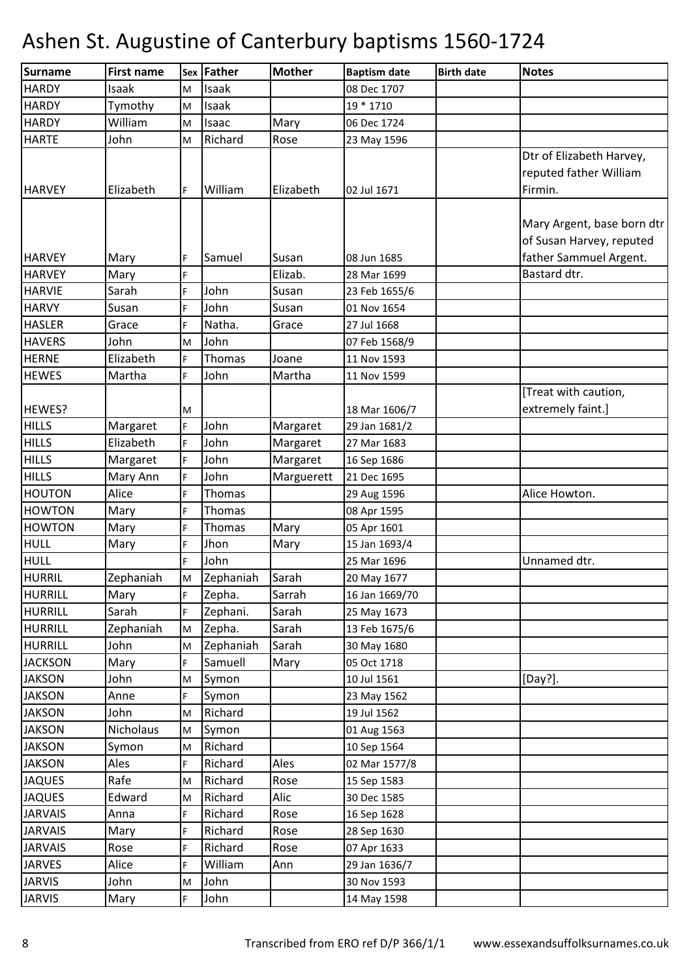| Surname        | <b>First name</b> | Sex                                                                                                        | Father    | <b>Mother</b> | <b>Baptism date</b> | <b>Birth date</b> | <b>Notes</b>                                           |
|----------------|-------------------|------------------------------------------------------------------------------------------------------------|-----------|---------------|---------------------|-------------------|--------------------------------------------------------|
| <b>HARDY</b>   | Isaak             | M                                                                                                          | Isaak     |               | 08 Dec 1707         |                   |                                                        |
| <b>HARDY</b>   | Tymothy           | M                                                                                                          | Isaak     |               | 19 * 1710           |                   |                                                        |
| <b>HARDY</b>   | William           | M                                                                                                          | Isaac     | Mary          | 06 Dec 1724         |                   |                                                        |
| <b>HARTE</b>   | John              | M                                                                                                          | Richard   | Rose          | 23 May 1596         |                   |                                                        |
|                |                   |                                                                                                            |           |               |                     |                   | Dtr of Elizabeth Harvey,<br>reputed father William     |
| <b>HARVEY</b>  | Elizabeth         | F                                                                                                          | William   | Elizabeth     | 02 Jul 1671         |                   | Firmin.                                                |
|                |                   |                                                                                                            |           |               |                     |                   | Mary Argent, base born dtr<br>of Susan Harvey, reputed |
| <b>HARVEY</b>  | Mary              | F                                                                                                          | Samuel    | Susan         | 08 Jun 1685         |                   | father Sammuel Argent.                                 |
| <b>HARVEY</b>  | Mary              | F                                                                                                          |           | Elizab.       | 28 Mar 1699         |                   | Bastard dtr.                                           |
| <b>HARVIE</b>  | Sarah             | F                                                                                                          | John      | Susan         | 23 Feb 1655/6       |                   |                                                        |
| <b>HARVY</b>   | Susan             | F                                                                                                          | John      | Susan         | 01 Nov 1654         |                   |                                                        |
| <b>HASLER</b>  | Grace             | F                                                                                                          | Natha.    | Grace         | 27 Jul 1668         |                   |                                                        |
| <b>HAVERS</b>  | John              | M                                                                                                          | John      |               | 07 Feb 1568/9       |                   |                                                        |
| <b>HERNE</b>   | Elizabeth         | F                                                                                                          | Thomas    | Joane         | 11 Nov 1593         |                   |                                                        |
| <b>HEWES</b>   | Martha            | F.                                                                                                         | John      | Martha        | 11 Nov 1599         |                   |                                                        |
| HEWES?         |                   | M                                                                                                          |           |               | 18 Mar 1606/7       |                   | [Treat with caution,<br>extremely faint.]              |
| <b>HILLS</b>   | Margaret          | F                                                                                                          | John      | Margaret      | 29 Jan 1681/2       |                   |                                                        |
| <b>HILLS</b>   | Elizabeth         | F                                                                                                          | John      | Margaret      | 27 Mar 1683         |                   |                                                        |
| <b>HILLS</b>   | Margaret          | F.                                                                                                         | John      | Margaret      | 16 Sep 1686         |                   |                                                        |
| <b>HILLS</b>   | Mary Ann          | F                                                                                                          | John      | Marguerett    | 21 Dec 1695         |                   |                                                        |
| <b>HOUTON</b>  | Alice             | F                                                                                                          | Thomas    |               | 29 Aug 1596         |                   | Alice Howton.                                          |
| <b>HOWTON</b>  | Mary              | F                                                                                                          | Thomas    |               | 08 Apr 1595         |                   |                                                        |
| <b>HOWTON</b>  | Mary              | F                                                                                                          | Thomas    | Mary          | 05 Apr 1601         |                   |                                                        |
| <b>HULL</b>    | Mary              | F                                                                                                          | Jhon      | Mary          | 15 Jan 1693/4       |                   |                                                        |
| <b>HULL</b>    |                   | F                                                                                                          | John      |               | 25 Mar 1696         |                   | Unnamed dtr.                                           |
| <b>HURRIL</b>  | Zephaniah         | $\mathsf{M}% _{T}=\mathsf{M}_{T}\!\left( a,b\right) ,\ \mathsf{M}_{T}=\mathsf{M}_{T}\!\left( a,b\right) ,$ | Zephaniah | Sarah         | 20 May 1677         |                   |                                                        |
| HURRILL        | Mary              | F.                                                                                                         | Zepha.    | Sarrah        | 16 Jan 1669/70      |                   |                                                        |
| <b>HURRILL</b> | Sarah             | F.                                                                                                         | Zephani.  | Sarah         | 25 May 1673         |                   |                                                        |
| <b>HURRILL</b> | Zephaniah         | M                                                                                                          | Zepha.    | Sarah         | 13 Feb 1675/6       |                   |                                                        |
| <b>HURRILL</b> | John              | M                                                                                                          | Zephaniah | Sarah         | 30 May 1680         |                   |                                                        |
| <b>JACKSON</b> | Mary              | F.                                                                                                         | Samuell   | Mary          | 05 Oct 1718         |                   |                                                        |
| <b>JAKSON</b>  | John              | M                                                                                                          | Symon     |               | 10 Jul 1561         |                   | [Day?].                                                |
| <b>JAKSON</b>  | Anne              | F.                                                                                                         | Symon     |               | 23 May 1562         |                   |                                                        |
| <b>JAKSON</b>  | John              | M                                                                                                          | Richard   |               | 19 Jul 1562         |                   |                                                        |
| <b>JAKSON</b>  | Nicholaus         | M                                                                                                          | Symon     |               | 01 Aug 1563         |                   |                                                        |
| <b>JAKSON</b>  | Symon             | M                                                                                                          | Richard   |               | 10 Sep 1564         |                   |                                                        |
| <b>JAKSON</b>  | Ales              | F                                                                                                          | Richard   | Ales          | 02 Mar 1577/8       |                   |                                                        |
| <b>JAQUES</b>  | Rafe              | M                                                                                                          | Richard   | Rose          | 15 Sep 1583         |                   |                                                        |
| <b>JAQUES</b>  | Edward            | M                                                                                                          | Richard   | Alic          | 30 Dec 1585         |                   |                                                        |
| <b>JARVAIS</b> | Anna              | F.                                                                                                         | Richard   | Rose          | 16 Sep 1628         |                   |                                                        |
| <b>JARVAIS</b> | Mary              | F                                                                                                          | Richard   | Rose          | 28 Sep 1630         |                   |                                                        |
| <b>JARVAIS</b> | Rose              | F                                                                                                          | Richard   | Rose          | 07 Apr 1633         |                   |                                                        |
| <b>JARVES</b>  | Alice             | F                                                                                                          | William   | Ann           | 29 Jan 1636/7       |                   |                                                        |
| <b>JARVIS</b>  | John              | M                                                                                                          | John      |               | 30 Nov 1593         |                   |                                                        |
| <b>JARVIS</b>  | Mary              | F.                                                                                                         | John      |               | 14 May 1598         |                   |                                                        |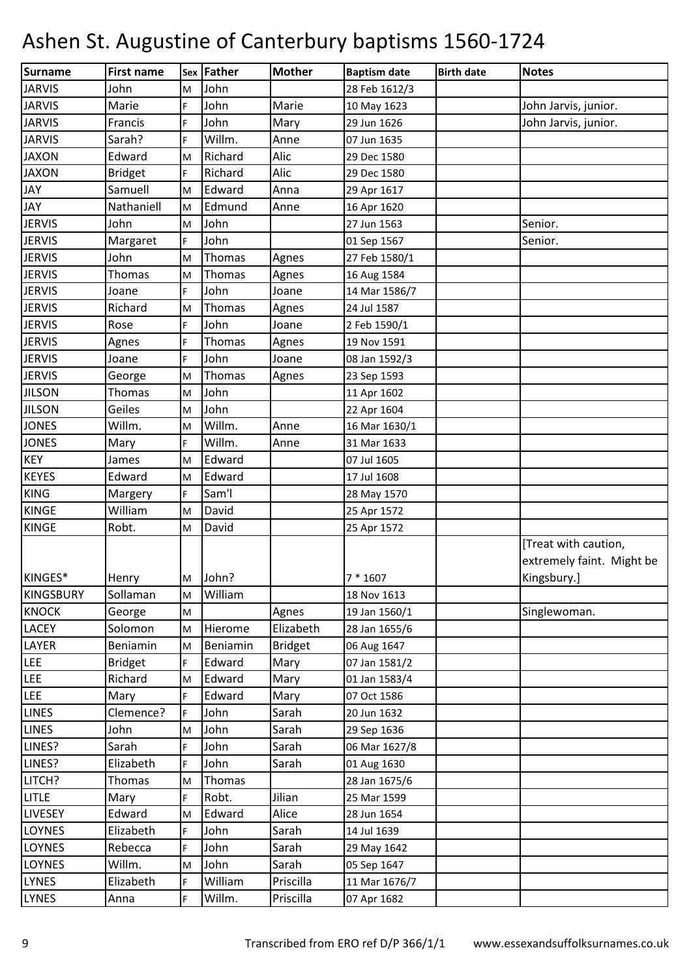| Surname          | <b>First name</b> |    | <b>Sex Father</b> | <b>Mother</b>  | <b>Baptism date</b> | <b>Birth date</b> | <b>Notes</b>              |
|------------------|-------------------|----|-------------------|----------------|---------------------|-------------------|---------------------------|
| <b>JARVIS</b>    | John              | M  | John              |                | 28 Feb 1612/3       |                   |                           |
| <b>JARVIS</b>    | Marie             | F  | John              | Marie          | 10 May 1623         |                   | John Jarvis, junior.      |
| <b>JARVIS</b>    | Francis           | F  | John              | Mary           | 29 Jun 1626         |                   | John Jarvis, junior.      |
| <b>JARVIS</b>    | Sarah?            | F. | Willm.            | Anne           | 07 Jun 1635         |                   |                           |
| <b>JAXON</b>     | Edward            | M  | Richard           | Alic           | 29 Dec 1580         |                   |                           |
| <b>JAXON</b>     | <b>Bridget</b>    | F. | Richard           | Alic           | 29 Dec 1580         |                   |                           |
| <b>JAY</b>       | Samuell           | M  | Edward            | Anna           | 29 Apr 1617         |                   |                           |
| <b>JAY</b>       | Nathaniell        | M  | Edmund            | Anne           | 16 Apr 1620         |                   |                           |
| <b>JERVIS</b>    | John              | M  | John              |                | 27 Jun 1563         |                   | Senior.                   |
| <b>JERVIS</b>    | Margaret          | F  | John              |                | 01 Sep 1567         |                   | Senior.                   |
| <b>JERVIS</b>    | John              | M  | Thomas            | Agnes          | 27 Feb 1580/1       |                   |                           |
| <b>JERVIS</b>    | Thomas            | M  | Thomas            | Agnes          | 16 Aug 1584         |                   |                           |
| <b>JERVIS</b>    | Joane             | F. | John              | Joane          | 14 Mar 1586/7       |                   |                           |
| <b>JERVIS</b>    | Richard           | M  | Thomas            | Agnes          | 24 Jul 1587         |                   |                           |
| <b>JERVIS</b>    | Rose              | F. | John              | Joane          | 2 Feb 1590/1        |                   |                           |
| <b>JERVIS</b>    | Agnes             | F  | Thomas            | Agnes          | 19 Nov 1591         |                   |                           |
| <b>JERVIS</b>    | Joane             | F  | John              | Joane          | 08 Jan 1592/3       |                   |                           |
| <b>JERVIS</b>    | George            | M  | Thomas            | Agnes          | 23 Sep 1593         |                   |                           |
| <b>JILSON</b>    | Thomas            | M  | John              |                | 11 Apr 1602         |                   |                           |
| <b>JILSON</b>    | Geiles            | M  | John              |                | 22 Apr 1604         |                   |                           |
| <b>JONES</b>     | Willm.            | M  | Willm.            | Anne           | 16 Mar 1630/1       |                   |                           |
| <b>JONES</b>     | Mary              | F. | Willm.            | Anne           | 31 Mar 1633         |                   |                           |
| <b>KEY</b>       | James             | M  | Edward            |                | 07 Jul 1605         |                   |                           |
| <b>KEYES</b>     | Edward            | M  | Edward            |                | 17 Jul 1608         |                   |                           |
| <b>KING</b>      | Margery           | F  | Sam'l             |                | 28 May 1570         |                   |                           |
| <b>KINGE</b>     | William           | M  | David             |                | 25 Apr 1572         |                   |                           |
| <b>KINGE</b>     | Robt.             | M  | David             |                | 25 Apr 1572         |                   |                           |
|                  |                   |    |                   |                |                     |                   | [Treat with caution,      |
|                  |                   |    |                   |                |                     |                   | extremely faint. Might be |
| KINGES*          | Henry             |    | M John?           |                | $7 * 1607$          |                   | Kingsbury.]               |
| <b>KINGSBURY</b> | Sollaman          | M  | William           |                | 18 Nov 1613         |                   |                           |
| <b>KNOCK</b>     | George            | M  |                   | Agnes          | 19 Jan 1560/1       |                   | Singlewoman.              |
| <b>LACEY</b>     | Solomon           | M  | Hierome           | Elizabeth      | 28 Jan 1655/6       |                   |                           |
| LAYER            | Beniamin          | M  | Beniamin          | <b>Bridget</b> | 06 Aug 1647         |                   |                           |
| LEE              | <b>Bridget</b>    | F  | Edward            | Mary           | 07 Jan 1581/2       |                   |                           |
| LEE              | Richard           | M  | Edward            | Mary           | 01 Jan 1583/4       |                   |                           |
| <b>LEE</b>       | Mary              | F. | Edward            | Mary           | 07 Oct 1586         |                   |                           |
| <b>LINES</b>     | Clemence?         | F  | John              | Sarah          | 20 Jun 1632         |                   |                           |
| <b>LINES</b>     | John              | M  | John              | Sarah          | 29 Sep 1636         |                   |                           |
| LINES?           | Sarah             | F. | John              | Sarah          | 06 Mar 1627/8       |                   |                           |
| LINES?           | Elizabeth         | F. | John              | Sarah          | 01 Aug 1630         |                   |                           |
| LITCH?           | Thomas            | M  | Thomas            |                | 28 Jan 1675/6       |                   |                           |
| LITLE            | Mary              | F. | Robt.             | Jilian         | 25 Mar 1599         |                   |                           |
| <b>LIVESEY</b>   | Edward            | M  | Edward            | Alice          | 28 Jun 1654         |                   |                           |
| <b>LOYNES</b>    | Elizabeth         | F  | John              | Sarah          | 14 Jul 1639         |                   |                           |
| <b>LOYNES</b>    | Rebecca           | F  | John              | Sarah          | 29 May 1642         |                   |                           |
| <b>LOYNES</b>    | Willm.            | M  | John              | Sarah          | 05 Sep 1647         |                   |                           |
| <b>LYNES</b>     | Elizabeth         | F. | William           | Priscilla      | 11 Mar 1676/7       |                   |                           |
| <b>LYNES</b>     | Anna              | F  | Willm.            | Priscilla      | 07 Apr 1682         |                   |                           |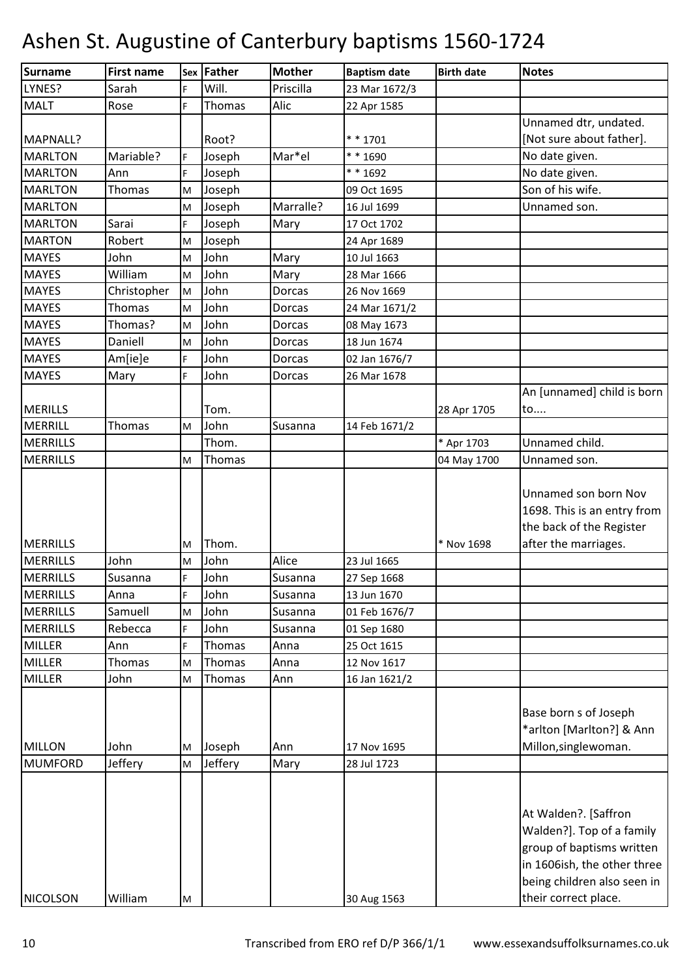| <b>Surname</b>                     | <b>First name</b> |        | Sex Father   | <b>Mother</b>   | <b>Baptism date</b>        | <b>Birth date</b> | <b>Notes</b>                                                                                                                                 |
|------------------------------------|-------------------|--------|--------------|-----------------|----------------------------|-------------------|----------------------------------------------------------------------------------------------------------------------------------------------|
| LYNES?                             | Sarah             | F.     | Will.        | Priscilla       | 23 Mar 1672/3              |                   |                                                                                                                                              |
| <b>MALT</b>                        | Rose              | Ė      | Thomas       | Alic            | 22 Apr 1585                |                   |                                                                                                                                              |
|                                    |                   |        |              |                 |                            |                   | Unnamed dtr, undated.                                                                                                                        |
| MAPNALL?                           |                   |        | Root?        |                 | ** 1701                    |                   | [Not sure about father].                                                                                                                     |
| <b>MARLTON</b>                     | Mariable?         | F.     | Joseph       | Mar*el          | ** 1690                    |                   | No date given.                                                                                                                               |
| <b>MARLTON</b>                     | Ann               | F.     | Joseph       |                 | ** 1692                    |                   | No date given.                                                                                                                               |
| <b>MARLTON</b>                     | Thomas            | M      | Joseph       |                 | 09 Oct 1695                |                   | Son of his wife.                                                                                                                             |
| <b>MARLTON</b>                     |                   | M      | Joseph       | Marralle?       | 16 Jul 1699                |                   | Unnamed son.                                                                                                                                 |
| <b>MARLTON</b>                     | Sarai             | E.     | Joseph       | Mary            | 17 Oct 1702                |                   |                                                                                                                                              |
| <b>MARTON</b>                      | Robert            | M      | Joseph       |                 | 24 Apr 1689                |                   |                                                                                                                                              |
| <b>MAYES</b>                       | John              | M      | John         | Mary            | 10 Jul 1663                |                   |                                                                                                                                              |
| <b>MAYES</b>                       | William           | M      | John         | Mary            | 28 Mar 1666                |                   |                                                                                                                                              |
| <b>MAYES</b>                       | Christopher       | M      | John         | <b>Dorcas</b>   | 26 Nov 1669                |                   |                                                                                                                                              |
| <b>MAYES</b>                       | Thomas            | M      | John         | Dorcas          | 24 Mar 1671/2              |                   |                                                                                                                                              |
| <b>MAYES</b>                       | Thomas?           | M      | John         | Dorcas          | 08 May 1673                |                   |                                                                                                                                              |
| <b>MAYES</b>                       | Daniell           | M      | John         | Dorcas          | 18 Jun 1674                |                   |                                                                                                                                              |
| <b>MAYES</b>                       | Am[ie]e           | F.     | John         | Dorcas          | 02 Jan 1676/7              |                   |                                                                                                                                              |
| <b>MAYES</b>                       | Mary              | F      | John         | Dorcas          | 26 Mar 1678                |                   |                                                                                                                                              |
|                                    |                   |        |              |                 |                            |                   | An [unnamed] child is born                                                                                                                   |
| <b>MERILLS</b>                     |                   |        | Tom.         |                 |                            | 28 Apr 1705       | to                                                                                                                                           |
| MERRILL                            | Thomas            | M      | John         | Susanna         | 14 Feb 1671/2              |                   |                                                                                                                                              |
| <b>MERRILLS</b>                    |                   |        | Thom.        |                 |                            | * Apr 1703        | Unnamed child.                                                                                                                               |
| <b>MERRILLS</b>                    |                   | M      | Thomas       |                 |                            | 04 May 1700       | Unnamed son.                                                                                                                                 |
|                                    |                   |        |              |                 |                            | * Nov 1698        | Unnamed son born Nov<br>1698. This is an entry from<br>the back of the Register                                                              |
| <b>MERRILLS</b>                    |                   | M      | Thom.        |                 |                            |                   | after the marriages.                                                                                                                         |
| <b>MERRILLS</b><br><b>MERRILLS</b> | John              | M      | John<br>John | Alice           | 23 Jul 1665                |                   |                                                                                                                                              |
| <b>MERRILLS</b>                    | Susanna           | F.     | John         | Susanna         | 27 Sep 1668<br>13 Jun 1670 |                   |                                                                                                                                              |
| <b>MERRILLS</b>                    | Anna<br>Samuell   |        | John         | Susanna         | 01 Feb 1676/7              |                   |                                                                                                                                              |
| <b>MERRILLS</b>                    | Rebecca           | M<br>F | John         | Susanna         |                            |                   |                                                                                                                                              |
| <b>MILLER</b>                      | Ann               | E.     | Thomas       | Susanna<br>Anna | 01 Sep 1680<br>25 Oct 1615 |                   |                                                                                                                                              |
| <b>MILLER</b>                      | Thomas            | M      | Thomas       | Anna            | 12 Nov 1617                |                   |                                                                                                                                              |
| <b>MILLER</b>                      | John              | М      | Thomas       | Ann             | 16 Jan 1621/2              |                   |                                                                                                                                              |
|                                    |                   |        |              |                 |                            |                   |                                                                                                                                              |
| <b>MILLON</b>                      | John              | М      | Joseph       | Ann             | 17 Nov 1695                |                   | Base born s of Joseph<br>*arlton [Marlton?] & Ann<br>Millon, singlewoman.                                                                    |
| <b>MUMFORD</b>                     | Jeffery           | M      | Jeffery      | Mary            | 28 Jul 1723                |                   |                                                                                                                                              |
|                                    |                   |        |              |                 |                            |                   | At Walden?. [Saffron<br>Walden?]. Top of a family<br>group of baptisms written<br>in 1606ish, the other three<br>being children also seen in |
| <b>NICOLSON</b>                    | William           | M      |              |                 | 30 Aug 1563                |                   | their correct place.                                                                                                                         |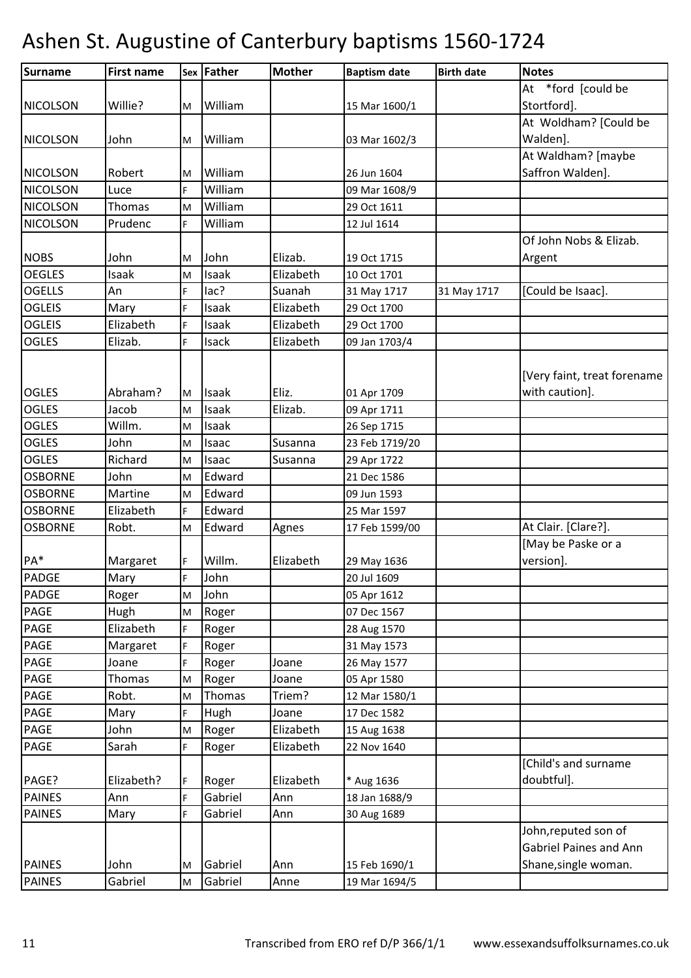| Surname         | <b>First name</b> |             | Sex Father | <b>Mother</b> | <b>Baptism date</b> | <b>Birth date</b> | <b>Notes</b>                  |
|-----------------|-------------------|-------------|------------|---------------|---------------------|-------------------|-------------------------------|
|                 |                   |             |            |               |                     |                   | At *ford [could be            |
| <b>NICOLSON</b> | Willie?           | M           | William    |               | 15 Mar 1600/1       |                   | Stortford].                   |
|                 |                   |             |            |               |                     |                   | At Woldham? [Could be         |
| <b>NICOLSON</b> | John              | M           | William    |               | 03 Mar 1602/3       |                   | Walden].                      |
|                 |                   |             |            |               |                     |                   | At Waldham? [maybe            |
| <b>NICOLSON</b> | Robert            | м           | William    |               | 26 Jun 1604         |                   | Saffron Walden].              |
| <b>NICOLSON</b> | Luce              | F           | William    |               | 09 Mar 1608/9       |                   |                               |
| <b>NICOLSON</b> | Thomas            | M           | William    |               | 29 Oct 1611         |                   |                               |
| <b>NICOLSON</b> | Prudenc           | F.          | William    |               | 12 Jul 1614         |                   |                               |
|                 |                   |             |            |               |                     |                   | Of John Nobs & Elizab.        |
| <b>NOBS</b>     | John              | M           | John       | Elizab.       | 19 Oct 1715         |                   | Argent                        |
| <b>OEGLES</b>   | Isaak             | M           | Isaak      | Elizabeth     | 10 Oct 1701         |                   |                               |
| <b>OGELLS</b>   | An                | F           | lac?       | Suanah        | 31 May 1717         | 31 May 1717       | [Could be Isaac].             |
| <b>OGLEIS</b>   | Mary              | F.          | Isaak      | Elizabeth     | 29 Oct 1700         |                   |                               |
| <b>OGLEIS</b>   | Elizabeth         | F           | Isaak      | Elizabeth     | 29 Oct 1700         |                   |                               |
| <b>OGLES</b>    | Elizab.           | F           | Isack      | Elizabeth     | 09 Jan 1703/4       |                   |                               |
|                 |                   |             |            |               |                     |                   |                               |
|                 |                   |             |            |               |                     |                   | [Very faint, treat forename   |
| <b>OGLES</b>    | Abraham?          | M           | Isaak      | Eliz.         | 01 Apr 1709         |                   | with caution].                |
| <b>OGLES</b>    | Jacob             | M           | Isaak      | Elizab.       | 09 Apr 1711         |                   |                               |
| <b>OGLES</b>    | Willm.            | M           | Isaak      |               | 26 Sep 1715         |                   |                               |
| <b>OGLES</b>    | John              | M           | Isaac      | Susanna       | 23 Feb 1719/20      |                   |                               |
| <b>OGLES</b>    | Richard           | M           | Isaac      | Susanna       | 29 Apr 1722         |                   |                               |
| <b>OSBORNE</b>  | John              | M           | Edward     |               | 21 Dec 1586         |                   |                               |
| <b>OSBORNE</b>  | Martine           | M           | Edward     |               | 09 Jun 1593         |                   |                               |
| <b>OSBORNE</b>  | Elizabeth         | F           | Edward     |               | 25 Mar 1597         |                   |                               |
| <b>OSBORNE</b>  | Robt.             | M           | Edward     | Agnes         | 17 Feb 1599/00      |                   | At Clair. [Clare?].           |
|                 |                   |             |            |               |                     |                   | [May be Paske or a            |
| PA*             | Margaret          | F           | Willm.     | Elizabeth     | 29 May 1636         |                   | version].                     |
| <b>PADGE</b>    | Mary              | $\mathsf F$ | John       |               | 20 Jul 1609         |                   |                               |
| <b>PADGE</b>    | Roger             | M           | John       |               | 05 Apr 1612         |                   |                               |
| PAGE            | Hugh              | M           | Roger      |               | 07 Dec 1567         |                   |                               |
| <b>PAGE</b>     | Elizabeth         | F           | Roger      |               | 28 Aug 1570         |                   |                               |
| PAGE            | Margaret          | F           | Roger      |               | 31 May 1573         |                   |                               |
| PAGE            | Joane             | F           | Roger      | Joane         | 26 May 1577         |                   |                               |
| PAGE            | Thomas            | M           | Roger      | Joane         | 05 Apr 1580         |                   |                               |
| PAGE            | Robt.             | M           | Thomas     | Triem?        | 12 Mar 1580/1       |                   |                               |
| PAGE            | Mary              | F           | Hugh       | Joane         | 17 Dec 1582         |                   |                               |
| PAGE            | John              | M           | Roger      | Elizabeth     | 15 Aug 1638         |                   |                               |
| PAGE            | Sarah             | F.          | Roger      | Elizabeth     | 22 Nov 1640         |                   |                               |
|                 |                   |             |            |               |                     |                   | [Child's and surname          |
| PAGE?           | Elizabeth?        | F           | Roger      | Elizabeth     | * Aug 1636          |                   | doubtful].                    |
| <b>PAINES</b>   | Ann               | F.          | Gabriel    | Ann           | 18 Jan 1688/9       |                   |                               |
| <b>PAINES</b>   | Mary              | F           | Gabriel    | Ann           | 30 Aug 1689         |                   |                               |
|                 |                   |             |            |               |                     |                   | John, reputed son of          |
|                 |                   |             |            |               |                     |                   | <b>Gabriel Paines and Ann</b> |
| <b>PAINES</b>   | John              | M           | Gabriel    | Ann           | 15 Feb 1690/1       |                   | Shane, single woman.          |
| <b>PAINES</b>   | Gabriel           | M           | Gabriel    | Anne          | 19 Mar 1694/5       |                   |                               |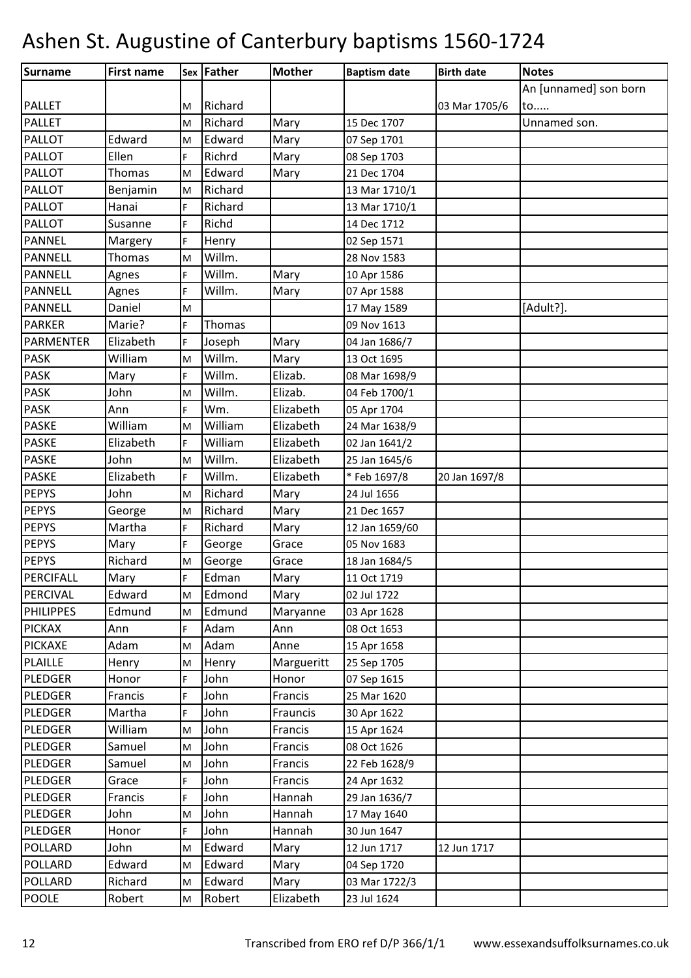| <b>Surname</b>   | <b>First name</b> |    | Sex Father | <b>Mother</b> | <b>Baptism date</b> | <b>Birth date</b> | <b>Notes</b>          |
|------------------|-------------------|----|------------|---------------|---------------------|-------------------|-----------------------|
|                  |                   |    |            |               |                     |                   | An [unnamed] son born |
| <b>PALLET</b>    |                   | M  | Richard    |               |                     | 03 Mar 1705/6     | to                    |
| <b>PALLET</b>    |                   | M  | Richard    | Mary          | 15 Dec 1707         |                   | Unnamed son.          |
| <b>PALLOT</b>    | Edward            | M  | Edward     | Mary          | 07 Sep 1701         |                   |                       |
| <b>PALLOT</b>    | Ellen             | F. | Richrd     | Mary          | 08 Sep 1703         |                   |                       |
| <b>PALLOT</b>    | Thomas            | M  | Edward     | Mary          | 21 Dec 1704         |                   |                       |
| <b>PALLOT</b>    | Benjamin          | M  | Richard    |               | 13 Mar 1710/1       |                   |                       |
| <b>PALLOT</b>    | Hanai             | F  | Richard    |               | 13 Mar 1710/1       |                   |                       |
| <b>PALLOT</b>    | Susanne           | F. | Richd      |               | 14 Dec 1712         |                   |                       |
| <b>PANNEL</b>    | Margery           | F  | Henry      |               | 02 Sep 1571         |                   |                       |
| <b>PANNELL</b>   | Thomas            | M  | Willm.     |               | 28 Nov 1583         |                   |                       |
| <b>PANNELL</b>   | Agnes             | F. | Willm.     | Mary          | 10 Apr 1586         |                   |                       |
| PANNELL          | Agnes             | F. | Willm.     | Mary          | 07 Apr 1588         |                   |                       |
| PANNELL          | Daniel            | M  |            |               | 17 May 1589         |                   | [Adult?].             |
| <b>PARKER</b>    | Marie?            | F. | Thomas     |               | 09 Nov 1613         |                   |                       |
| <b>PARMENTER</b> | Elizabeth         | F. | Joseph     | Mary          | 04 Jan 1686/7       |                   |                       |
| <b>PASK</b>      | William           | M  | Willm.     | Mary          | 13 Oct 1695         |                   |                       |
| <b>PASK</b>      | Mary              | F. | Willm.     | Elizab.       | 08 Mar 1698/9       |                   |                       |
| <b>PASK</b>      | John              | M  | Willm.     | Elizab.       | 04 Feb 1700/1       |                   |                       |
| <b>PASK</b>      | Ann               | F  | Wm.        | Elizabeth     | 05 Apr 1704         |                   |                       |
| <b>PASKE</b>     | William           | M  | William    | Elizabeth     | 24 Mar 1638/9       |                   |                       |
| <b>PASKE</b>     | Elizabeth         | F. | William    | Elizabeth     | 02 Jan 1641/2       |                   |                       |
| <b>PASKE</b>     | John              | M  | Willm.     | Elizabeth     | 25 Jan 1645/6       |                   |                       |
| <b>PASKE</b>     | Elizabeth         | F. | Willm.     | Elizabeth     | *Feb 1697/8         | 20 Jan 1697/8     |                       |
| <b>PEPYS</b>     | John              | M  | Richard    | Mary          | 24 Jul 1656         |                   |                       |
| <b>PEPYS</b>     | George            | M  | Richard    | Mary          | 21 Dec 1657         |                   |                       |
| <b>PEPYS</b>     | Martha            | F  | Richard    | Mary          | 12 Jan 1659/60      |                   |                       |
| <b>PEPYS</b>     | Mary              | F. | George     | Grace         | 05 Nov 1683         |                   |                       |
| <b>PEPYS</b>     | Richard           | M  | George     | Grace         | 18 Jan 1684/5       |                   |                       |
| PERCIFALL        | Mary              | F. | Edman      | Mary          | 11 Oct 1719         |                   |                       |
| PERCIVAL         | Edward            | м  | Edmond     | Mary          | 02 Jul 1722         |                   |                       |
| <b>PHILIPPES</b> | Edmund            | M  | Edmund     | Maryanne      | 03 Apr 1628         |                   |                       |
| <b>PICKAX</b>    | Ann               | F. | Adam       | Ann           | 08 Oct 1653         |                   |                       |
| <b>PICKAXE</b>   | Adam              | M  | Adam       | Anne          | 15 Apr 1658         |                   |                       |
| PLAILLE          | Henry             | M  | Henry      | Margueritt    | 25 Sep 1705         |                   |                       |
| <b>PLEDGER</b>   | Honor             | F  | John       | Honor         | 07 Sep 1615         |                   |                       |
| <b>PLEDGER</b>   | Francis           | F  | John       | Francis       | 25 Mar 1620         |                   |                       |
| PLEDGER          | Martha            | F  | John       | Frauncis      | 30 Apr 1622         |                   |                       |
| <b>PLEDGER</b>   | William           | M  | John       | Francis       | 15 Apr 1624         |                   |                       |
| PLEDGER          | Samuel            | M  | John       | Francis       | 08 Oct 1626         |                   |                       |
| <b>PLEDGER</b>   | Samuel            | M  | John       | Francis       | 22 Feb 1628/9       |                   |                       |
| <b>PLEDGER</b>   | Grace             | F. | John       | Francis       | 24 Apr 1632         |                   |                       |
| <b>PLEDGER</b>   | Francis           | F. | John       | Hannah        | 29 Jan 1636/7       |                   |                       |
| <b>PLEDGER</b>   | John              | M  | John       | Hannah        | 17 May 1640         |                   |                       |
| <b>PLEDGER</b>   | Honor             | F. | John       | Hannah        | 30 Jun 1647         |                   |                       |
| POLLARD          | John              | M  | Edward     | Mary          | 12 Jun 1717         | 12 Jun 1717       |                       |
| POLLARD          | Edward            | M  | Edward     | Mary          | 04 Sep 1720         |                   |                       |
| <b>POLLARD</b>   | Richard           | M  | Edward     | Mary          | 03 Mar 1722/3       |                   |                       |
| <b>POOLE</b>     | Robert            | M  | Robert     | Elizabeth     | 23 Jul 1624         |                   |                       |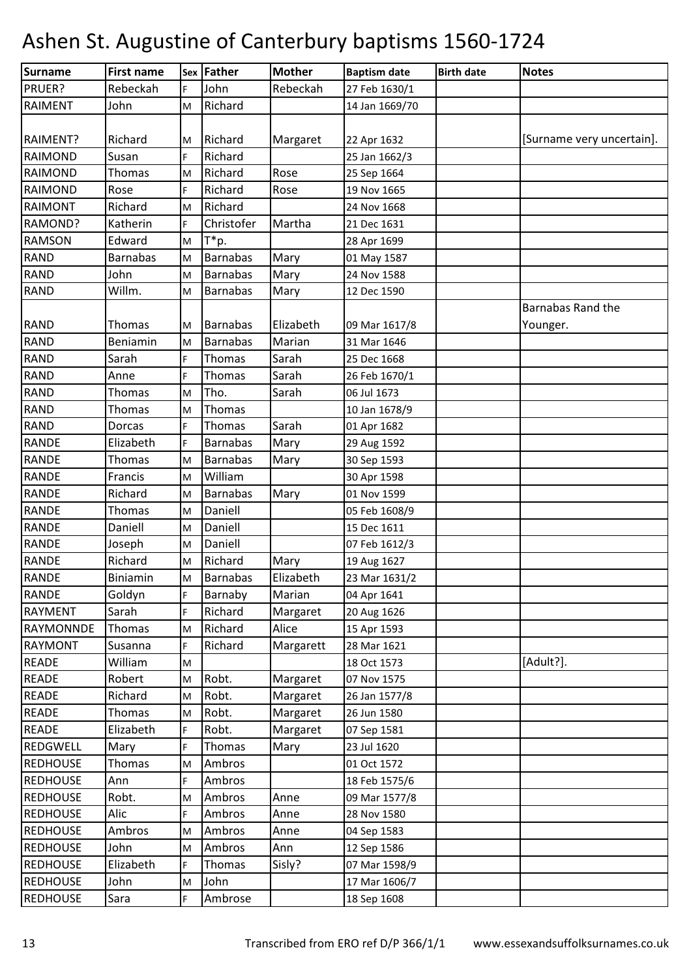| <b>Surname</b>   | <b>First name</b> |    | <b>Sex Father</b> | <b>Mother</b> | <b>Baptism date</b> | <b>Birth date</b> | <b>Notes</b>              |
|------------------|-------------------|----|-------------------|---------------|---------------------|-------------------|---------------------------|
| PRUER?           | Rebeckah          | F. | John              | Rebeckah      | 27 Feb 1630/1       |                   |                           |
| <b>RAIMENT</b>   | John              | M  | Richard           |               | 14 Jan 1669/70      |                   |                           |
|                  |                   |    |                   |               |                     |                   |                           |
| RAIMENT?         | Richard           | M  | Richard           | Margaret      | 22 Apr 1632         |                   | [Surname very uncertain]. |
| <b>RAIMOND</b>   | Susan             | F  | Richard           |               | 25 Jan 1662/3       |                   |                           |
| <b>RAIMOND</b>   | Thomas            | M  | Richard           | Rose          | 25 Sep 1664         |                   |                           |
| <b>RAIMOND</b>   | Rose              | F  | Richard           | Rose          | 19 Nov 1665         |                   |                           |
| <b>RAIMONT</b>   | Richard           | M  | Richard           |               | 24 Nov 1668         |                   |                           |
| RAMOND?          | Katherin          | F  | Christofer        | Martha        | 21 Dec 1631         |                   |                           |
| <b>RAMSON</b>    | Edward            | M  | T*p.              |               | 28 Apr 1699         |                   |                           |
| <b>RAND</b>      | <b>Barnabas</b>   | M  | <b>Barnabas</b>   | Mary          | 01 May 1587         |                   |                           |
| <b>RAND</b>      | John              | M  | <b>Barnabas</b>   | Mary          | 24 Nov 1588         |                   |                           |
| <b>RAND</b>      | Willm.            | M  | <b>Barnabas</b>   | Mary          | 12 Dec 1590         |                   |                           |
|                  |                   |    |                   |               |                     |                   | <b>Barnabas Rand the</b>  |
| <b>RAND</b>      | Thomas            | М  | <b>Barnabas</b>   | Elizabeth     | 09 Mar 1617/8       |                   | Younger.                  |
| <b>RAND</b>      | Beniamin          | M  | <b>Barnabas</b>   | Marian        | 31 Mar 1646         |                   |                           |
| <b>RAND</b>      | Sarah             | F  | Thomas            | Sarah         | 25 Dec 1668         |                   |                           |
| <b>RAND</b>      | Anne              | F  | Thomas            | Sarah         | 26 Feb 1670/1       |                   |                           |
| <b>RAND</b>      | Thomas            | M  | Tho.              | Sarah         | 06 Jul 1673         |                   |                           |
| <b>RAND</b>      | Thomas            | M  | Thomas            |               | 10 Jan 1678/9       |                   |                           |
| <b>RAND</b>      | Dorcas            | F  | Thomas            | Sarah         | 01 Apr 1682         |                   |                           |
| <b>RANDE</b>     | Elizabeth         | F  | <b>Barnabas</b>   | Mary          | 29 Aug 1592         |                   |                           |
| <b>RANDE</b>     | Thomas            | M  | <b>Barnabas</b>   | Mary          | 30 Sep 1593         |                   |                           |
| <b>RANDE</b>     | Francis           | M  | William           |               | 30 Apr 1598         |                   |                           |
| <b>RANDE</b>     | Richard           | M  | <b>Barnabas</b>   | Mary          | 01 Nov 1599         |                   |                           |
| <b>RANDE</b>     | Thomas            | M  | Daniell           |               | 05 Feb 1608/9       |                   |                           |
| <b>RANDE</b>     | Daniell           | M  | Daniell           |               | 15 Dec 1611         |                   |                           |
| <b>RANDE</b>     | Joseph            | M  | Daniell           |               | 07 Feb 1612/3       |                   |                           |
| <b>RANDE</b>     | Richard           | M  | Richard           | Mary          | 19 Aug 1627         |                   |                           |
| <b>RANDE</b>     | Biniamin          | M  | Barnabas          | Elizabeth     | 23 Mar 1631/2       |                   |                           |
| <b>RANDE</b>     | Goldyn            | F  | Barnaby           | Marian        | 04 Apr 1641         |                   |                           |
| <b>RAYMENT</b>   | Sarah             | F. | Richard           | Margaret      | 20 Aug 1626         |                   |                           |
| <b>RAYMONNDE</b> | Thomas            | M  | Richard           | Alice         | 15 Apr 1593         |                   |                           |
| <b>RAYMONT</b>   | Susanna           | F  | Richard           | Margarett     | 28 Mar 1621         |                   |                           |
| <b>READE</b>     | William           | M  |                   |               | 18 Oct 1573         |                   | [Adult?].                 |
| <b>READE</b>     | Robert            | M  | Robt.             | Margaret      | 07 Nov 1575         |                   |                           |
| <b>READE</b>     | Richard           | M  | Robt.             | Margaret      | 26 Jan 1577/8       |                   |                           |
| <b>READE</b>     | Thomas            | M  | Robt.             | Margaret      | 26 Jun 1580         |                   |                           |
| <b>READE</b>     | Elizabeth         | F  | Robt.             | Margaret      | 07 Sep 1581         |                   |                           |
| REDGWELL         | Mary              | F. | Thomas            | Mary          | 23 Jul 1620         |                   |                           |
| <b>REDHOUSE</b>  | Thomas            | M  | Ambros            |               | 01 Oct 1572         |                   |                           |
| <b>REDHOUSE</b>  | Ann               | F. | Ambros            |               | 18 Feb 1575/6       |                   |                           |
| <b>REDHOUSE</b>  | Robt.             | M  | Ambros            | Anne          | 09 Mar 1577/8       |                   |                           |
| <b>REDHOUSE</b>  | Alic              | F. | Ambros            | Anne          | 28 Nov 1580         |                   |                           |
| <b>REDHOUSE</b>  | Ambros            | M  | Ambros            | Anne          | 04 Sep 1583         |                   |                           |
| <b>REDHOUSE</b>  | John              | M  | Ambros            | Ann           | 12 Sep 1586         |                   |                           |
| <b>REDHOUSE</b>  | Elizabeth         | F  | Thomas            | Sisly?        | 07 Mar 1598/9       |                   |                           |
| <b>REDHOUSE</b>  | John              | M  | John              |               | 17 Mar 1606/7       |                   |                           |
| <b>REDHOUSE</b>  | Sara              | F. | Ambrose           |               | 18 Sep 1608         |                   |                           |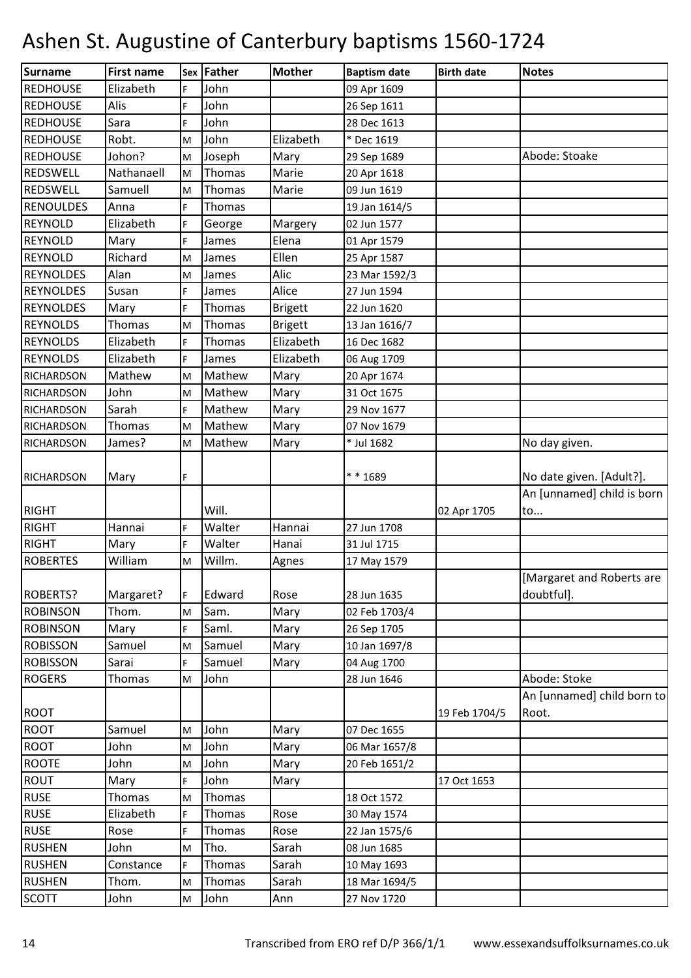| Surname           | <b>First name</b> |                                                                                                            | Sex Father | <b>Mother</b>  | <b>Baptism date</b> | <b>Birth date</b> | <b>Notes</b>               |
|-------------------|-------------------|------------------------------------------------------------------------------------------------------------|------------|----------------|---------------------|-------------------|----------------------------|
| <b>REDHOUSE</b>   | Elizabeth         | F                                                                                                          | John       |                | 09 Apr 1609         |                   |                            |
| <b>REDHOUSE</b>   | Alis              | F.                                                                                                         | John       |                | 26 Sep 1611         |                   |                            |
| <b>REDHOUSE</b>   | Sara              | F                                                                                                          | John       |                | 28 Dec 1613         |                   |                            |
| <b>REDHOUSE</b>   | Robt.             | M                                                                                                          | John       | Elizabeth      | * Dec 1619          |                   |                            |
| <b>REDHOUSE</b>   | Johon?            | M                                                                                                          | Joseph     | Mary           | 29 Sep 1689         |                   | Abode: Stoake              |
| <b>REDSWELL</b>   | Nathanaell        | M                                                                                                          | Thomas     | Marie          | 20 Apr 1618         |                   |                            |
| REDSWELL          | Samuell           | M                                                                                                          | Thomas     | Marie          | 09 Jun 1619         |                   |                            |
| <b>RENOULDES</b>  | Anna              | F                                                                                                          | Thomas     |                | 19 Jan 1614/5       |                   |                            |
| <b>REYNOLD</b>    | Elizabeth         | F.                                                                                                         | George     | Margery        | 02 Jun 1577         |                   |                            |
| <b>REYNOLD</b>    | Mary              | F                                                                                                          | James      | Elena          | 01 Apr 1579         |                   |                            |
| <b>REYNOLD</b>    | Richard           | M                                                                                                          | James      | Ellen          | 25 Apr 1587         |                   |                            |
| <b>REYNOLDES</b>  | Alan              | M                                                                                                          | James      | Alic           | 23 Mar 1592/3       |                   |                            |
| <b>REYNOLDES</b>  | Susan             | F.                                                                                                         | James      | Alice          | 27 Jun 1594         |                   |                            |
| <b>REYNOLDES</b>  | Mary              | F.                                                                                                         | Thomas     | <b>Brigett</b> | 22 Jun 1620         |                   |                            |
| <b>REYNOLDS</b>   | Thomas            | M                                                                                                          | Thomas     | <b>Brigett</b> | 13 Jan 1616/7       |                   |                            |
| <b>REYNOLDS</b>   | Elizabeth         | F.                                                                                                         | Thomas     | Elizabeth      | 16 Dec 1682         |                   |                            |
| <b>REYNOLDS</b>   | Elizabeth         | F                                                                                                          | James      | Elizabeth      | 06 Aug 1709         |                   |                            |
| <b>RICHARDSON</b> | Mathew            | M                                                                                                          | Mathew     | Mary           | 20 Apr 1674         |                   |                            |
| <b>RICHARDSON</b> | John              | M                                                                                                          | Mathew     | Mary           | 31 Oct 1675         |                   |                            |
| <b>RICHARDSON</b> | Sarah             | F                                                                                                          | Mathew     | Mary           | 29 Nov 1677         |                   |                            |
| <b>RICHARDSON</b> | Thomas            | M                                                                                                          | Mathew     | Mary           | 07 Nov 1679         |                   |                            |
| <b>RICHARDSON</b> | James?            | M                                                                                                          | Mathew     | Mary           | * Jul 1682          |                   | No day given.              |
|                   |                   |                                                                                                            |            |                |                     |                   |                            |
| <b>RICHARDSON</b> | Mary              | F                                                                                                          |            |                | ** 1689             |                   | No date given. [Adult?].   |
|                   |                   |                                                                                                            |            |                |                     |                   | An [unnamed] child is born |
| <b>RIGHT</b>      |                   |                                                                                                            | Will.      |                |                     | 02 Apr 1705       | to                         |
| <b>RIGHT</b>      | Hannai            | F                                                                                                          | Walter     | Hannai         | 27 Jun 1708         |                   |                            |
| <b>RIGHT</b>      | Mary              | F.                                                                                                         | Walter     | Hanai          | 31 Jul 1715         |                   |                            |
| <b>ROBERTES</b>   | William           | $\mathsf{M}% _{T}=\mathsf{M}_{T}\!\left( a,b\right) ,\ \mathsf{M}_{T}=\mathsf{M}_{T}\!\left( a,b\right) ,$ | Willm.     | Agnes          | 17 May 1579         |                   |                            |
|                   |                   |                                                                                                            |            |                |                     |                   | Margaret and Roberts are   |
| <b>ROBERTS?</b>   | Margaret?         | F.                                                                                                         | Edward     | Rose           | 28 Jun 1635         |                   | doubtful].                 |
| <b>ROBINSON</b>   | Thom.             | M                                                                                                          | Sam.       | Mary           | 02 Feb 1703/4       |                   |                            |
| <b>ROBINSON</b>   | Mary              | F.                                                                                                         | Saml.      | Mary           | 26 Sep 1705         |                   |                            |
| <b>ROBISSON</b>   | Samuel            | M                                                                                                          | Samuel     | Mary           | 10 Jan 1697/8       |                   |                            |
| <b>ROBISSON</b>   | Sarai             | F.                                                                                                         | Samuel     | Mary           | 04 Aug 1700         |                   |                            |
| <b>ROGERS</b>     | Thomas            | M                                                                                                          | John       |                | 28 Jun 1646         |                   | Abode: Stoke               |
|                   |                   |                                                                                                            |            |                |                     |                   | An [unnamed] child born to |
| <b>ROOT</b>       |                   |                                                                                                            |            |                |                     | 19 Feb 1704/5     | Root.                      |
| <b>ROOT</b>       | Samuel            | M                                                                                                          | John       | Mary           | 07 Dec 1655         |                   |                            |
| <b>ROOT</b>       | John              | M                                                                                                          | John       | Mary           | 06 Mar 1657/8       |                   |                            |
| <b>ROOTE</b>      | John              | M                                                                                                          | John       | Mary           | 20 Feb 1651/2       |                   |                            |
| <b>ROUT</b>       | Mary              | F.                                                                                                         | John       | Mary           |                     | 17 Oct 1653       |                            |
| <b>RUSE</b>       | Thomas            | M                                                                                                          | Thomas     |                | 18 Oct 1572         |                   |                            |
| <b>RUSE</b>       | Elizabeth         | F                                                                                                          | Thomas     | Rose           | 30 May 1574         |                   |                            |
| <b>RUSE</b>       | Rose              | F.                                                                                                         | Thomas     | Rose           | 22 Jan 1575/6       |                   |                            |
| <b>RUSHEN</b>     | John              | M                                                                                                          | Tho.       | Sarah          | 08 Jun 1685         |                   |                            |
| <b>RUSHEN</b>     | Constance         | F.                                                                                                         | Thomas     | Sarah          | 10 May 1693         |                   |                            |
| <b>RUSHEN</b>     | Thom.             | M                                                                                                          | Thomas     | Sarah          | 18 Mar 1694/5       |                   |                            |
| <b>SCOTT</b>      | John              | M                                                                                                          | John       | Ann            | 27 Nov 1720         |                   |                            |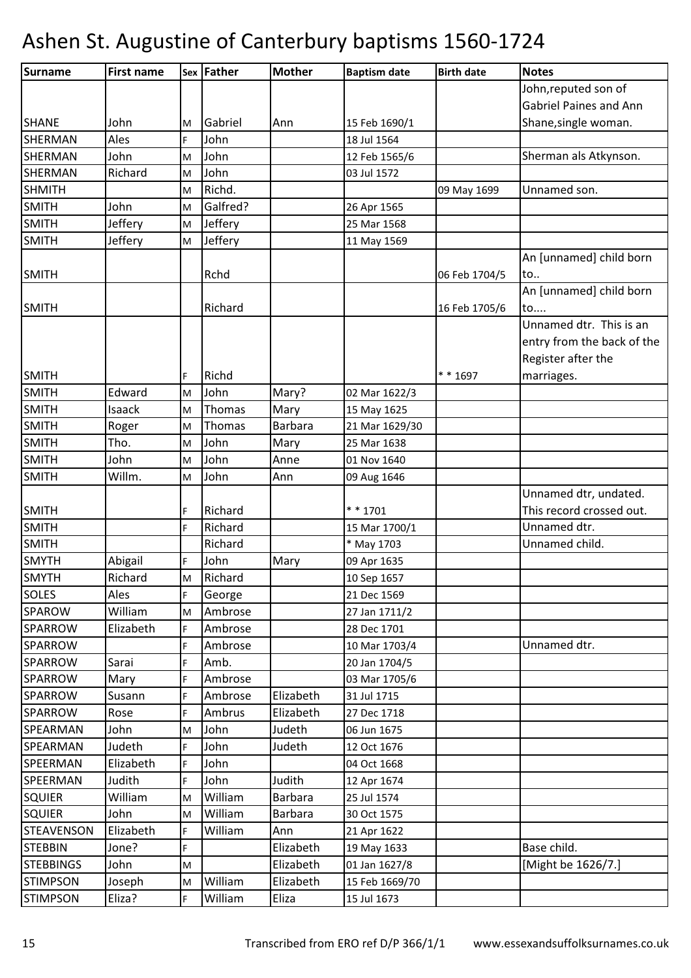| Surname           | <b>First name</b> |    | Sex Father | <b>Mother</b>  | <b>Baptism date</b> | <b>Birth date</b> | <b>Notes</b>                  |
|-------------------|-------------------|----|------------|----------------|---------------------|-------------------|-------------------------------|
|                   |                   |    |            |                |                     |                   | John, reputed son of          |
|                   |                   |    |            |                |                     |                   | <b>Gabriel Paines and Ann</b> |
| <b>SHANE</b>      | John              | M  | Gabriel    | Ann            | 15 Feb 1690/1       |                   | Shane, single woman.          |
| <b>SHERMAN</b>    | Ales              | F. | John       |                | 18 Jul 1564         |                   |                               |
| <b>SHERMAN</b>    | John              | M  | John       |                | 12 Feb 1565/6       |                   | Sherman als Atkynson.         |
| <b>SHERMAN</b>    | Richard           | M  | John       |                | 03 Jul 1572         |                   |                               |
| <b>SHMITH</b>     |                   | M  | Richd.     |                |                     | 09 May 1699       | Unnamed son.                  |
| <b>SMITH</b>      | John              | M  | Galfred?   |                | 26 Apr 1565         |                   |                               |
| <b>SMITH</b>      | Jeffery           | M  | Jeffery    |                | 25 Mar 1568         |                   |                               |
| <b>SMITH</b>      | Jeffery           | M  | Jeffery    |                | 11 May 1569         |                   |                               |
|                   |                   |    |            |                |                     |                   | An [unnamed] child born       |
| <b>SMITH</b>      |                   |    | Rchd       |                |                     | 06 Feb 1704/5     | to                            |
|                   |                   |    |            |                |                     |                   | An [unnamed] child born       |
| <b>SMITH</b>      |                   |    | Richard    |                |                     | 16 Feb 1705/6     | to                            |
|                   |                   |    |            |                |                     |                   | Unnamed dtr. This is an       |
|                   |                   |    |            |                |                     |                   | entry from the back of the    |
|                   |                   |    |            |                |                     |                   | Register after the            |
| <b>SMITH</b>      |                   | F  | Richd      |                |                     | ** 1697           | marriages.                    |
| <b>SMITH</b>      | Edward            | M  | John       | Mary?          | 02 Mar 1622/3       |                   |                               |
| <b>SMITH</b>      | Isaack            | M  | Thomas     | Mary           | 15 May 1625         |                   |                               |
| <b>SMITH</b>      | Roger             | M  | Thomas     | Barbara        | 21 Mar 1629/30      |                   |                               |
| <b>SMITH</b>      | Tho.              | M  | John       | Mary           | 25 Mar 1638         |                   |                               |
| <b>SMITH</b>      | John              | M  | John       | Anne           | 01 Nov 1640         |                   |                               |
| <b>SMITH</b>      | Willm.            | M  | John       | Ann            | 09 Aug 1646         |                   |                               |
|                   |                   |    |            |                |                     |                   | Unnamed dtr, undated.         |
| <b>SMITH</b>      |                   | F  | Richard    |                | ** 1701             |                   | This record crossed out.      |
| <b>SMITH</b>      |                   | F  | Richard    |                | 15 Mar 1700/1       |                   | Unnamed dtr.                  |
| <b>SMITH</b>      |                   |    | Richard    |                | * May 1703          |                   | Unnamed child.                |
| <b>SMYTH</b>      | Abigail           | F  | John       | Mary           | 09 Apr 1635         |                   |                               |
| <b>SMYTH</b>      | Richard           | M  | Richard    |                | 10 Sep 1657         |                   |                               |
| <b>SOLES</b>      | Ales              | F. | George     |                | 21 Dec 1569         |                   |                               |
| <b>SPAROW</b>     | William           | M  | Ambrose    |                | 27 Jan 1711/2       |                   |                               |
| <b>SPARROW</b>    | Elizabeth         | F. | Ambrose    |                | 28 Dec 1701         |                   |                               |
| SPARROW           |                   | F  | Ambrose    |                | 10 Mar 1703/4       |                   | Unnamed dtr.                  |
| SPARROW           | Sarai             | F  | Amb.       |                | 20 Jan 1704/5       |                   |                               |
| SPARROW           | Mary              | F  | Ambrose    |                | 03 Mar 1705/6       |                   |                               |
| <b>SPARROW</b>    | Susann            | F. | Ambrose    | Elizabeth      | 31 Jul 1715         |                   |                               |
| SPARROW           | Rose              | F  | Ambrus     | Elizabeth      | 27 Dec 1718         |                   |                               |
| SPEARMAN          | John              | M  | John       | Judeth         | 06 Jun 1675         |                   |                               |
| SPEARMAN          | Judeth            | F. | John       | Judeth         | 12 Oct 1676         |                   |                               |
| SPEERMAN          | Elizabeth         | F  | John       |                | 04 Oct 1668         |                   |                               |
| SPEERMAN          | Judith            | F. | John       | Judith         | 12 Apr 1674         |                   |                               |
| <b>SQUIER</b>     | William           | M  | William    | Barbara        | 25 Jul 1574         |                   |                               |
| <b>SQUIER</b>     | John              | M  | William    | <b>Barbara</b> | 30 Oct 1575         |                   |                               |
| <b>STEAVENSON</b> | Elizabeth         | F. | William    | Ann            | 21 Apr 1622         |                   |                               |
| <b>STEBBIN</b>    | Jone?             | F  |            | Elizabeth      | 19 May 1633         |                   | Base child.                   |
| <b>STEBBINGS</b>  | John              | M  |            | Elizabeth      | 01 Jan 1627/8       |                   | [Might be 1626/7.]            |
| <b>STIMPSON</b>   | Joseph            | M  | William    | Elizabeth      | 15 Feb 1669/70      |                   |                               |
| <b>STIMPSON</b>   | Eliza?            | F  | William    | Eliza          | 15 Jul 1673         |                   |                               |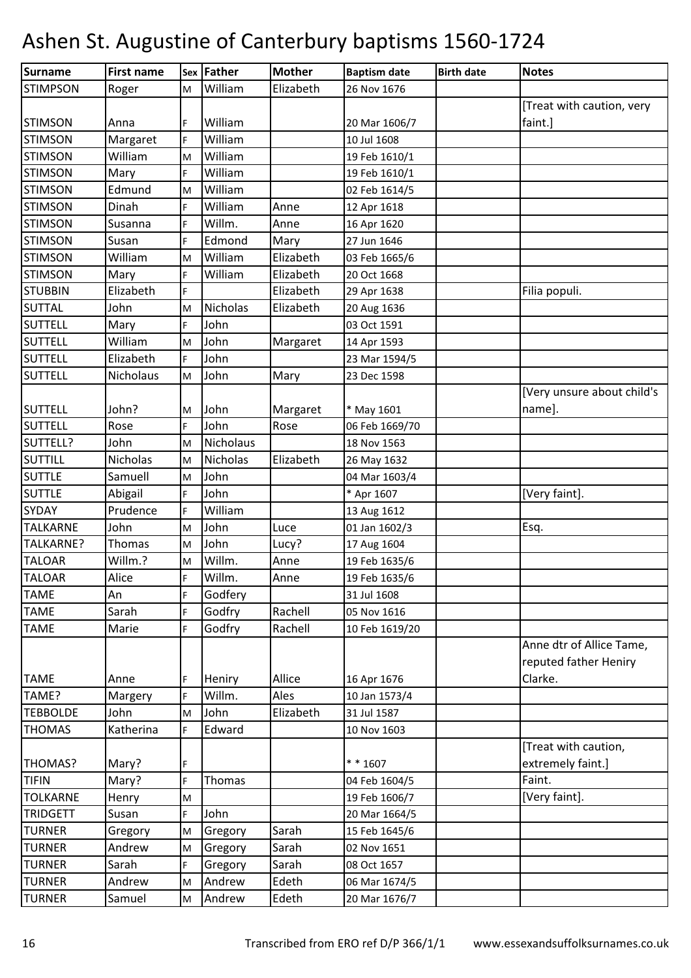| Surname         | <b>First name</b> |    | <b>Sex Father</b> | <b>Mother</b> | <b>Baptism date</b> | <b>Birth date</b> | <b>Notes</b>                                                 |
|-----------------|-------------------|----|-------------------|---------------|---------------------|-------------------|--------------------------------------------------------------|
| <b>STIMPSON</b> | Roger             | M  | William           | Elizabeth     | 26 Nov 1676         |                   |                                                              |
|                 |                   |    |                   |               |                     |                   | [Treat with caution, very                                    |
| <b>STIMSON</b>  | Anna              | F  | William           |               | 20 Mar 1606/7       |                   | faint.]                                                      |
| <b>STIMSON</b>  | Margaret          | F. | William           |               | 10 Jul 1608         |                   |                                                              |
| <b>STIMSON</b>  | William           | M  | William           |               | 19 Feb 1610/1       |                   |                                                              |
| <b>STIMSON</b>  | Mary              | F  | William           |               | 19 Feb 1610/1       |                   |                                                              |
| <b>STIMSON</b>  | Edmund            | M  | William           |               | 02 Feb 1614/5       |                   |                                                              |
| <b>STIMSON</b>  | Dinah             | F  | William           | Anne          | 12 Apr 1618         |                   |                                                              |
| <b>STIMSON</b>  | Susanna           | F. | Willm.            | Anne          | 16 Apr 1620         |                   |                                                              |
| <b>STIMSON</b>  | Susan             | F  | Edmond            | Mary          | 27 Jun 1646         |                   |                                                              |
| <b>STIMSON</b>  | William           | M  | William           | Elizabeth     | 03 Feb 1665/6       |                   |                                                              |
| <b>STIMSON</b>  | Mary              | F  | William           | Elizabeth     | 20 Oct 1668         |                   |                                                              |
| <b>STUBBIN</b>  | Elizabeth         | F  |                   | Elizabeth     | 29 Apr 1638         |                   | Filia populi.                                                |
| <b>SUTTAL</b>   | John              | M  | Nicholas          | Elizabeth     | 20 Aug 1636         |                   |                                                              |
| <b>SUTTELL</b>  | Mary              | F  | John              |               | 03 Oct 1591         |                   |                                                              |
| <b>SUTTELL</b>  | William           | M  | John              | Margaret      | 14 Apr 1593         |                   |                                                              |
| <b>SUTTELL</b>  | Elizabeth         | F. | John              |               | 23 Mar 1594/5       |                   |                                                              |
| <b>SUTTELL</b>  | Nicholaus         | M  | John              | Mary          | 23 Dec 1598         |                   |                                                              |
|                 |                   |    |                   |               |                     |                   | [Very unsure about child's                                   |
| <b>SUTTELL</b>  | John?             | M  | John              | Margaret      | * May 1601          |                   | name].                                                       |
| <b>SUTTELL</b>  | Rose              | F. | John              | Rose          | 06 Feb 1669/70      |                   |                                                              |
| SUTTELL?        | John              | M  | Nicholaus         |               | 18 Nov 1563         |                   |                                                              |
| <b>SUTTILL</b>  | Nicholas          | M  | <b>Nicholas</b>   | Elizabeth     | 26 May 1632         |                   |                                                              |
| <b>SUTTLE</b>   | Samuell           | M  | John              |               | 04 Mar 1603/4       |                   |                                                              |
| <b>SUTTLE</b>   | Abigail           | F  | John              |               | * Apr 1607          |                   | [Very faint].                                                |
| SYDAY           | Prudence          | F  | William           |               | 13 Aug 1612         |                   |                                                              |
| <b>TALKARNE</b> | John              | M  | John              | Luce          | 01 Jan 1602/3       |                   | Esq.                                                         |
| TALKARNE?       | Thomas            | M  | John              | Lucy?         | 17 Aug 1604         |                   |                                                              |
| <b>TALOAR</b>   | Willm.?           | M  | Willm.            | Anne          | 19 Feb 1635/6       |                   |                                                              |
| <b>TALOAR</b>   | Alice             | F  | Willm.            | Anne          | 19 Feb 1635/6       |                   |                                                              |
| <b>TAME</b>     | An                | F  | Godfery           |               | 31 Jul 1608         |                   |                                                              |
| <b>TAME</b>     | Sarah             | F  | Godfry            | Rachell       | 05 Nov 1616         |                   |                                                              |
| <b>TAME</b>     | Marie             | F  | Godfry            | Rachell       | 10 Feb 1619/20      |                   |                                                              |
| <b>TAME</b>     | Anne              | F  | Heniry            | Allice        | 16 Apr 1676         |                   | Anne dtr of Allice Tame,<br>reputed father Heniry<br>Clarke. |
| TAME?           | Margery           | F  | Willm.            | Ales          | 10 Jan 1573/4       |                   |                                                              |
| <b>TEBBOLDE</b> | John              | M  | John              | Elizabeth     | 31 Jul 1587         |                   |                                                              |
| <b>THOMAS</b>   | Katherina         | F. | Edward            |               | 10 Nov 1603         |                   |                                                              |
|                 |                   |    |                   |               |                     |                   | [Treat with caution,                                         |
| THOMAS?         | Mary?             | F  |                   |               | ** 1607             |                   | extremely faint.]                                            |
| <b>TIFIN</b>    | Mary?             | F. | Thomas            |               | 04 Feb 1604/5       |                   | Faint.                                                       |
| <b>TOLKARNE</b> | Henry             | M  |                   |               | 19 Feb 1606/7       |                   | [Very faint].                                                |
| <b>TRIDGETT</b> | Susan             | F  | John              |               | 20 Mar 1664/5       |                   |                                                              |
| <b>TURNER</b>   | Gregory           | M  | Gregory           | Sarah         | 15 Feb 1645/6       |                   |                                                              |
| <b>TURNER</b>   | Andrew            | M  | Gregory           | Sarah         | 02 Nov 1651         |                   |                                                              |
| <b>TURNER</b>   | Sarah             | F. | Gregory           | Sarah         | 08 Oct 1657         |                   |                                                              |
| <b>TURNER</b>   | Andrew            | M  | Andrew            | Edeth         | 06 Mar 1674/5       |                   |                                                              |
| <b>TURNER</b>   | Samuel            | M  | Andrew            | Edeth         | 20 Mar 1676/7       |                   |                                                              |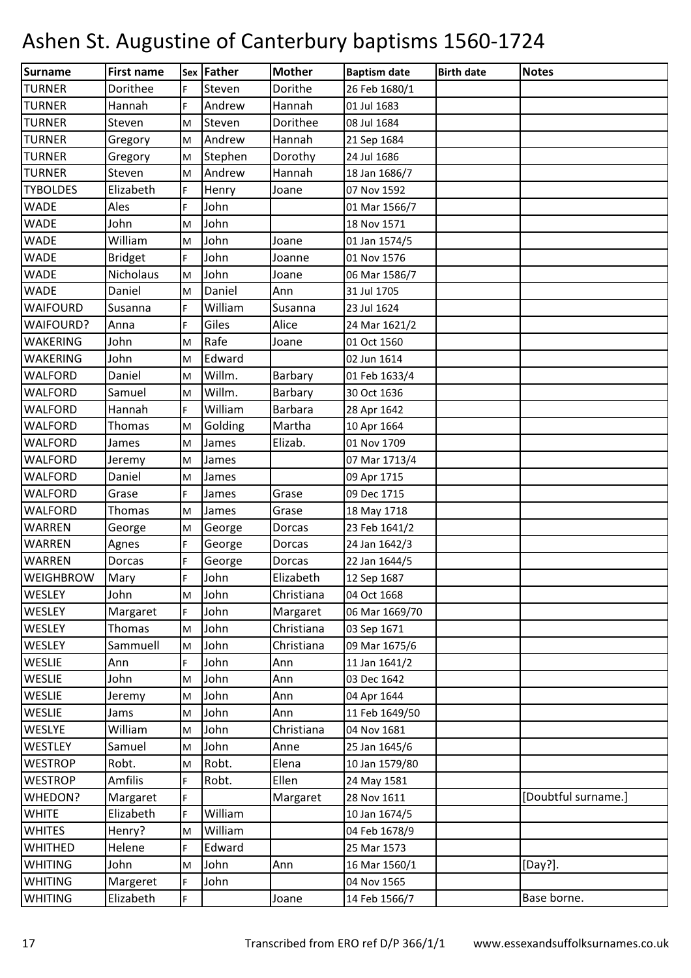| <b>Surname</b>   | <b>First name</b> |    | Sex Father | <b>Mother</b>  | <b>Baptism date</b> | <b>Birth date</b> | <b>Notes</b>        |
|------------------|-------------------|----|------------|----------------|---------------------|-------------------|---------------------|
| <b>TURNER</b>    | Dorithee          | F. | Steven     | Dorithe        | 26 Feb 1680/1       |                   |                     |
| <b>TURNER</b>    | Hannah            | F  | Andrew     | Hannah         | 01 Jul 1683         |                   |                     |
| <b>TURNER</b>    | Steven            | M  | Steven     | Dorithee       | 08 Jul 1684         |                   |                     |
| <b>TURNER</b>    | Gregory           | M  | Andrew     | Hannah         | 21 Sep 1684         |                   |                     |
| <b>TURNER</b>    | Gregory           | M  | Stephen    | Dorothy        | 24 Jul 1686         |                   |                     |
| <b>TURNER</b>    | Steven            | M  | Andrew     | Hannah         | 18 Jan 1686/7       |                   |                     |
| <b>TYBOLDES</b>  | Elizabeth         | F  | Henry      | Joane          | 07 Nov 1592         |                   |                     |
| <b>WADE</b>      | Ales              | F. | John       |                | 01 Mar 1566/7       |                   |                     |
| <b>WADE</b>      | John              | M  | John       |                | 18 Nov 1571         |                   |                     |
| <b>WADE</b>      | William           | M  | John       | Joane          | 01 Jan 1574/5       |                   |                     |
| <b>WADE</b>      | <b>Bridget</b>    | F  | John       | Joanne         | 01 Nov 1576         |                   |                     |
| <b>WADE</b>      | Nicholaus         | M  | John       | Joane          | 06 Mar 1586/7       |                   |                     |
| <b>WADE</b>      | Daniel            | M  | Daniel     | Ann            | 31 Jul 1705         |                   |                     |
| <b>WAIFOURD</b>  | Susanna           | F  | William    | Susanna        | 23 Jul 1624         |                   |                     |
| <b>WAIFOURD?</b> | Anna              | F. | Giles      | Alice          | 24 Mar 1621/2       |                   |                     |
| <b>WAKERING</b>  | John              | M  | Rafe       | Joane          | 01 Oct 1560         |                   |                     |
| <b>WAKERING</b>  | John              | M  | Edward     |                | 02 Jun 1614         |                   |                     |
| <b>WALFORD</b>   | Daniel            | M  | Willm.     | Barbary        | 01 Feb 1633/4       |                   |                     |
| <b>WALFORD</b>   | Samuel            | M  | Willm.     | Barbary        | 30 Oct 1636         |                   |                     |
| WALFORD          | Hannah            | F. | William    | <b>Barbara</b> | 28 Apr 1642         |                   |                     |
| <b>WALFORD</b>   | Thomas            | M  | Golding    | Martha         | 10 Apr 1664         |                   |                     |
| WALFORD          | James             | M  | James      | Elizab.        | 01 Nov 1709         |                   |                     |
| <b>WALFORD</b>   | Jeremy            | M  | James      |                | 07 Mar 1713/4       |                   |                     |
| <b>WALFORD</b>   | Daniel            | M  | James      |                | 09 Apr 1715         |                   |                     |
| <b>WALFORD</b>   | Grase             | F. | James      | Grase          | 09 Dec 1715         |                   |                     |
| <b>WALFORD</b>   | Thomas            | M  | James      | Grase          | 18 May 1718         |                   |                     |
| <b>WARREN</b>    | George            | M  | George     | Dorcas         | 23 Feb 1641/2       |                   |                     |
| <b>WARREN</b>    | Agnes             | F  | George     | Dorcas         | 24 Jan 1642/3       |                   |                     |
| <b>WARREN</b>    | Dorcas            | F  | George     | Dorcas         | 22 Jan 1644/5       |                   |                     |
| <b>WEIGHBROW</b> | Mary              | F. | John       | Elizabeth      | 12 Sep 1687         |                   |                     |
| <b>WESLEY</b>    | John              | M  | John       | Christiana     | 04 Oct 1668         |                   |                     |
| WESLEY           | Margaret          | F. | John       | Margaret       | 06 Mar 1669/70      |                   |                     |
| WESLEY           | Thomas            | M  | John       | Christiana     | 03 Sep 1671         |                   |                     |
| WESLEY           | Sammuell          | M  | John       | Christiana     | 09 Mar 1675/6       |                   |                     |
| <b>WESLIE</b>    | Ann               | F. | John       | Ann            | 11 Jan 1641/2       |                   |                     |
| WESLIE           | John              | M  | John       | Ann            | 03 Dec 1642         |                   |                     |
| <b>WESLIE</b>    | Jeremy            | M  | John       | Ann            | 04 Apr 1644         |                   |                     |
| <b>WESLIE</b>    | Jams              | M  | John       | Ann            | 11 Feb 1649/50      |                   |                     |
| WESLYE           | William           | M  | John       | Christiana     | 04 Nov 1681         |                   |                     |
| <b>WESTLEY</b>   | Samuel            | M  | John       | Anne           | 25 Jan 1645/6       |                   |                     |
| <b>WESTROP</b>   | Robt.             | M  | Robt.      | Elena          | 10 Jan 1579/80      |                   |                     |
| <b>WESTROP</b>   | <b>Amfilis</b>    | F  | Robt.      | Ellen          | 24 May 1581         |                   |                     |
| WHEDON?          | Margaret          | F  |            | Margaret       | 28 Nov 1611         |                   | [Doubtful surname.] |
| <b>WHITE</b>     | Elizabeth         | F. | William    |                | 10 Jan 1674/5       |                   |                     |
| <b>WHITES</b>    | Henry?            | M  | William    |                | 04 Feb 1678/9       |                   |                     |
| <b>WHITHED</b>   | Helene            | F. | Edward     |                | 25 Mar 1573         |                   |                     |
| <b>WHITING</b>   | John              | M  | John       | Ann            | 16 Mar 1560/1       |                   | [Day?].             |
| <b>WHITING</b>   | Margeret          | F  | John       |                | 04 Nov 1565         |                   |                     |
| <b>WHITING</b>   | Elizabeth         | F  |            | Joane          | 14 Feb 1566/7       |                   | Base borne.         |